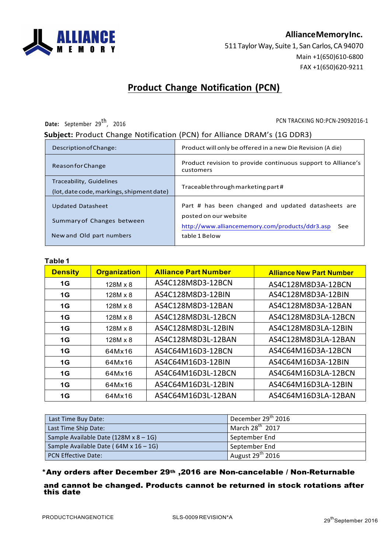

**AllianceMemoryInc.**

511 Taylor Way, Suite 1, San Carlos, CA 94070 Main +1(650)610-6800 FAX +1(650)620-9211

# **Product Change Notification (PCN)**

Date: September 29<sup>th</sup>, 2016

PCN TRACKING NO:PCN-29092016-1

#### **Subject:** Product Change Notification (PCN) for Alliance DRAM's (1G DDR3)

| Description of Change:                                                | Product will only be offered in a new Die Revision (A die)                      |  |  |
|-----------------------------------------------------------------------|---------------------------------------------------------------------------------|--|--|
| Reason for Change                                                     | Product revision to provide continuous support to Alliance's<br>customers       |  |  |
| Traceability, Guidelines<br>(lot, date code, markings, shipment date) | Traceable through marketing part#                                               |  |  |
| <b>Updated Datasheet</b>                                              | Part # has been changed and updated datasheets are                              |  |  |
| Summary of Changes between                                            | posted on our website<br>http://www.alliancememory.com/products/ddr3.asp<br>See |  |  |
| New and Old part numbers                                              | table 1 Below                                                                   |  |  |

#### **Table 1**

| 1 U.J.V. I     |                     |                             |                                 |
|----------------|---------------------|-----------------------------|---------------------------------|
| <b>Density</b> | <b>Organization</b> | <b>Alliance Part Number</b> | <b>Alliance New Part Number</b> |
| 1G             | $128M \times 8$     | AS4C128M8D3-12BCN           | AS4C128M8D3A-12BCN              |
| 1G             | $128M \times 8$     | AS4C128M8D3-12BIN           | AS4C128M8D3A-12BIN              |
| 1G             | $128M \times 8$     | AS4C128M8D3-12BAN           | AS4C128M8D3A-12BAN              |
| 1G             | $128M \times 8$     | AS4C128M8D3L-12BCN          | AS4C128M8D3LA-12BCN             |
| 1G             | 128M x 8            | AS4C128M8D3L-12BIN          | AS4C128M8D3LA-12BIN             |
| 1G             | $128M \times 8$     | AS4C128M8D3L-12BAN          | AS4C128M8D3LA-12BAN             |
| 1G             | 64Mx16              | AS4C64M16D3-12BCN           | AS4C64M16D3A-12BCN              |
| 1G             | 64Mx16              | AS4C64M16D3-12BIN           | AS4C64M16D3A-12BIN              |
| 1G             | 64Mx16              | AS4C64M16D3L-12BCN          | AS4C64M16D3LA-12BCN             |
| 1G             | 64Mx16              | AS4C64M16D3L-12BIN          | AS4C64M16D3LA-12BIN             |
| 1G             | 64Mx16              | AS4C64M16D3L-12BAN          | AS4C64M16D3LA-12BAN             |

| Last Time Buy Date:                          | December 29 <sup>th</sup> 2016 |
|----------------------------------------------|--------------------------------|
| Last Time Ship Date:                         | March 28 <sup>th</sup> 2017    |
| Sample Available Date $(128M \times 8 - 1G)$ | September End                  |
| Sample Available Date (64M x 16 - 1G)        | September End                  |
| <b>PCN Effective Date:</b>                   | August 29 <sup>th</sup> 2016   |

#### \*Any orders after December 29th ,2016 are Non-cancelable / Non-Returnable

#### and cannot be changed. Products cannot be returned in stock rotations after this date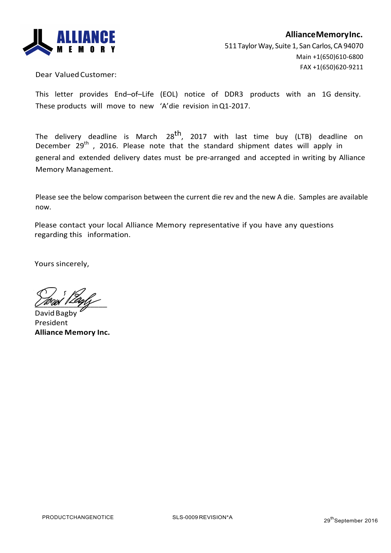

Dear Valued Customer:

This letter provides End-of-Life (EOL) notice of DDR3 products with an 1G density. These products will move to new 'A'die revision inQ1-2017. 

The delivery deadline is March 28 $^{\text{th}}$ , 2017 with last time buy (LTB) deadline on December 29<sup>th</sup>, 2016. Please note that the standard shipment dates will apply in general and extended delivery dates must be pre-arranged and accepted in writing by Alliance Memory Management.

Please see the below comparison between the current die rev and the new A die. Samples are available now. 

Please contact your local Alliance Memory representative if you have any questions regarding this information. 

Yours sincerely, 

 $\angle$ 

Davi President **Alliance Memory Inc.**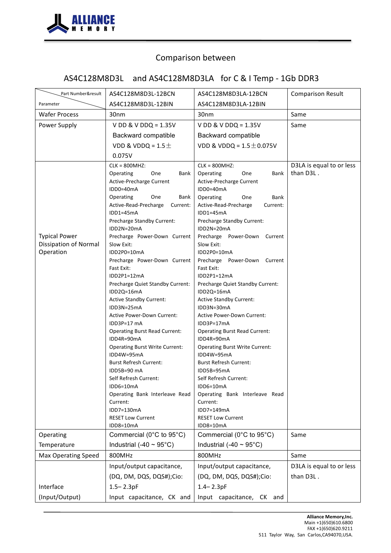

# AS4C128M8D3L and AS4C128M8D3LA for C & I Temp - 1Gb DDR3

| Part Number&result           | AS4C128M8D3L-12BCN                                  | AS4C128M8D3LA-12BCN                                 | <b>Comparison Result</b>              |
|------------------------------|-----------------------------------------------------|-----------------------------------------------------|---------------------------------------|
| Parameter                    | AS4C128M8D3L-12BIN                                  | AS4C128M8D3LA-12BIN                                 |                                       |
| <b>Wafer Process</b>         | 30nm                                                | 30 <sub>nm</sub>                                    | Same                                  |
| Power Supply                 | V DD & V DDQ = $1.35V$                              | $V$ DD & V DDQ = 1.35V                              | Same                                  |
|                              | Backward compatible                                 | Backward compatible                                 |                                       |
|                              | VDD & VDDQ = $1.5\pm$                               | VDD & VDDQ = $1.5 \pm 0.075V$                       |                                       |
|                              | 0.075V                                              |                                                     |                                       |
|                              | $CLK = 800MHz:$                                     | $CLK = 800MHz$                                      | D3LA is equal to or less              |
|                              | One<br>Bank<br>Operating                            | Operating<br>One<br>Bank                            | than D3L.                             |
|                              | Active-Precharge Current<br>IDD0=40mA               | Active-Precharge Current<br>IDD0=40mA               |                                       |
|                              | One<br>Operating<br>Bank                            | Bank<br>Operating<br>One                            |                                       |
|                              | Active-Read-Precharge<br>Current:                   | Active-Read-Precharge<br>Current:                   |                                       |
|                              | IDD1=45mA                                           | $IDD1=45mA$                                         |                                       |
|                              | Precharge Standby Current:<br>IDD2N=20mA            | Precharge Standby Current:<br>IDD2N=20mA            |                                       |
| <b>Typical Power</b>         | Precharge Power-Down Current                        | Precharge Power-Down Current                        |                                       |
| <b>Dissipation of Normal</b> | Slow Exit:                                          | Slow Exit:                                          |                                       |
| Operation                    | IDD2P0=10mA                                         | IDD2P0=10mA                                         |                                       |
|                              | Precharge Power-Down Current<br>Fast Exit:          | Precharge Power-Down Current<br>Fast Exit:          |                                       |
|                              | IDD2P1=12mA                                         | $IDD2P1=12mA$                                       |                                       |
|                              | Precharge Quiet Standby Current:                    | Precharge Quiet Standby Current:                    |                                       |
|                              | IDD2Q=16mA                                          | IDD2Q=16mA                                          |                                       |
|                              | <b>Active Standby Current:</b>                      | <b>Active Standby Current:</b>                      |                                       |
|                              | IDD3N=25mA<br><b>Active Power-Down Current:</b>     | IDD3N=30mA<br><b>Active Power-Down Current:</b>     |                                       |
|                              | IDD3P=17 mA                                         | IDD3P=17mA                                          |                                       |
|                              | <b>Operating Burst Read Current:</b>                | <b>Operating Burst Read Current:</b>                |                                       |
|                              | IDD4R=90mA                                          | IDD4R=90mA                                          |                                       |
|                              | <b>Operating Burst Write Current:</b><br>IDD4W=95mA | <b>Operating Burst Write Current:</b><br>IDD4W=95mA |                                       |
|                              | <b>Burst Refresh Current:</b>                       | <b>Burst Refresh Current:</b>                       |                                       |
|                              | IDD5B=90 mA                                         | IDD5B=95mA                                          |                                       |
|                              | Self Refresh Current:                               | Self Refresh Current:                               |                                       |
|                              | IDD6=10mA<br>Operating Bank Interleave Read         | IDD6=10mA<br>Operating Bank Interleave Read         |                                       |
|                              | Current:                                            | Current:                                            |                                       |
|                              | IDD7=130mA                                          | IDD7=149mA                                          |                                       |
|                              | <b>RESET Low Current</b>                            | <b>RESET Low Current</b>                            |                                       |
| Operating                    | IDD8=10mA<br>Commercial (0°C to 95°C)               | IDD8=10mA<br>Commercial (0°C to 95°C)               | Same                                  |
| Temperature                  | Industrial (-40 $\sim$ 95°C)                        | Industrial (-40 $\sim$ 95°C)                        |                                       |
|                              | 800MHz                                              | 800MHz                                              | Same                                  |
| <b>Max Operating Speed</b>   |                                                     | Input/output capacitance,                           |                                       |
|                              | Input/output capacitance,                           |                                                     | D3LA is equal to or less<br>than D3L. |
|                              | (DQ, DM, DQS, DQS#);Cio:                            | (DQ, DM, DQS, DQS#);Cio:                            |                                       |
| Interface                    | $1.5 - 2.3pF$                                       | $1.4 - 2.3pF$                                       |                                       |
| (Input/Output)               | Input capacitance, CK and                           | Input capacitance, CK and                           |                                       |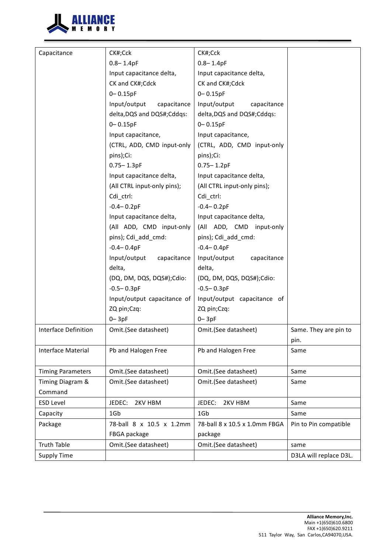

| Capacitance                 | CK#;Cck                     | CK#;Cck                       |                        |
|-----------------------------|-----------------------------|-------------------------------|------------------------|
|                             | $0.8 - 1.4pF$               | $0.8 - 1.4pF$                 |                        |
|                             | Input capacitance delta,    | Input capacitance delta,      |                        |
|                             | CK and CK#;Cdck             | CK and CK#;Cdck               |                        |
|                             | $0 - 0.15pF$                | $0 - 0.15pF$                  |                        |
|                             | Input/output<br>capacitance | Input/output<br>capacitance   |                        |
|                             | delta, DQS and DQS#; Cddqs: | delta, DQS and DQS#; Cddqs:   |                        |
|                             | $0 - 0.15pF$                | $0 - 0.15pF$                  |                        |
|                             | Input capacitance,          | Input capacitance,            |                        |
|                             | (CTRL, ADD, CMD input-only  | (CTRL, ADD, CMD input-only    |                        |
|                             | pins);Ci:                   | pins);Ci:                     |                        |
|                             | $0.75 - 1.3pF$              | $0.75 - 1.2pF$                |                        |
|                             | Input capacitance delta,    | Input capacitance delta,      |                        |
|                             | (All CTRL input-only pins); | (All CTRL input-only pins);   |                        |
|                             | Cdi_ctrl:                   | Cdi_ctrl:                     |                        |
|                             | $-0.4 - 0.2pF$              | $-0.4 - 0.2pF$                |                        |
|                             | Input capacitance delta,    | Input capacitance delta,      |                        |
|                             | (All ADD, CMD input-only    | (All ADD, CMD input-only      |                        |
|                             | pins); Cdi_add_cmd:         | pins); Cdi_add_cmd:           |                        |
|                             | $-0.4 - 0.4pF$              | $-0.4 - 0.4pF$                |                        |
|                             | Input/output<br>capacitance | Input/output<br>capacitance   |                        |
|                             | delta,                      | delta,                        |                        |
|                             | (DQ, DM, DQS, DQS#);Cdio:   | (DQ, DM, DQS, DQS#);Cdio:     |                        |
|                             | $-0.5 - 0.3pF$              | $-0.5 - 0.3pF$                |                        |
|                             | Input/output capacitance of | Input/output capacitance of   |                        |
|                             | ZQ pin;Czq:                 | ZQ pin;Czq:                   |                        |
|                             | $0 - 3pF$                   | $0 - 3pF$                     |                        |
| <b>Interface Definition</b> | Omit.(See datasheet)        | Omit.(See datasheet)          | Same. They are pin to  |
|                             |                             |                               | pin.                   |
| Interface Material          | Pb and Halogen Free         | Pb and Halogen Free           | Same                   |
|                             |                             |                               |                        |
| <b>Timing Parameters</b>    | Omit.(See datasheet)        | Omit.(See datasheet)          | Same                   |
| Timing Diagram &            | Omit.(See datasheet)        | Omit.(See datasheet)          | Same                   |
| Command                     |                             |                               |                        |
| <b>ESD Level</b>            | JEDEC:<br>2KV HBM           | JEDEC:<br>2KV HBM             | Same                   |
| Capacity                    | 1Gb                         | 1Gb                           | Same                   |
| Package                     | 78-ball 8 x 10.5 x 1.2mm    | 78-ball 8 x 10.5 x 1.0mm FBGA | Pin to Pin compatible  |
|                             | FBGA package                | package                       |                        |
| <b>Truth Table</b>          | Omit.(See datasheet)        | Omit.(See datasheet)          | same                   |
| <b>Supply Time</b>          |                             |                               | D3LA will replace D3L. |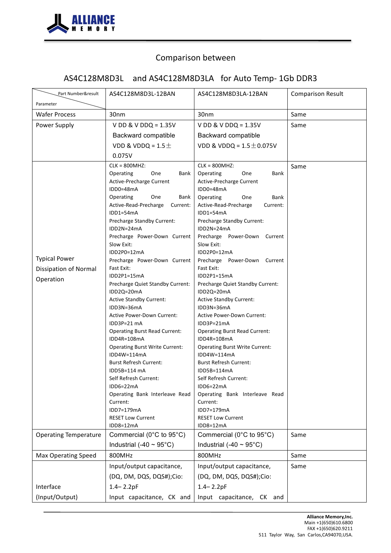

# AS4C128M8D3L and AS4C128M8D3LA for Auto Temp- 1Gb DDR3

| Part Number&result<br>Parameter                            | AS4C128M8D3L-12BAN                                                                                                                                                                                                                                                                                                                                                                                                                                                                                                                                                                                                                                                                                                                                                                              | AS4C128M8D3LA-12BAN                                                                                                                                                                                                                                                                                                                                                                                                                                                                                                                                                                                                                                                                                                                                                                                      | <b>Comparison Result</b> |
|------------------------------------------------------------|-------------------------------------------------------------------------------------------------------------------------------------------------------------------------------------------------------------------------------------------------------------------------------------------------------------------------------------------------------------------------------------------------------------------------------------------------------------------------------------------------------------------------------------------------------------------------------------------------------------------------------------------------------------------------------------------------------------------------------------------------------------------------------------------------|----------------------------------------------------------------------------------------------------------------------------------------------------------------------------------------------------------------------------------------------------------------------------------------------------------------------------------------------------------------------------------------------------------------------------------------------------------------------------------------------------------------------------------------------------------------------------------------------------------------------------------------------------------------------------------------------------------------------------------------------------------------------------------------------------------|--------------------------|
| <b>Wafer Process</b>                                       | 30nm                                                                                                                                                                                                                                                                                                                                                                                                                                                                                                                                                                                                                                                                                                                                                                                            | 30nm                                                                                                                                                                                                                                                                                                                                                                                                                                                                                                                                                                                                                                                                                                                                                                                                     | Same                     |
| Power Supply                                               | V DD & V DDQ = $1.35V$                                                                                                                                                                                                                                                                                                                                                                                                                                                                                                                                                                                                                                                                                                                                                                          | V DD & V DDQ = $1.35V$                                                                                                                                                                                                                                                                                                                                                                                                                                                                                                                                                                                                                                                                                                                                                                                   | Same                     |
|                                                            | Backward compatible                                                                                                                                                                                                                                                                                                                                                                                                                                                                                                                                                                                                                                                                                                                                                                             | Backward compatible                                                                                                                                                                                                                                                                                                                                                                                                                                                                                                                                                                                                                                                                                                                                                                                      |                          |
|                                                            | VDD & VDDQ = $1.5 \pm$                                                                                                                                                                                                                                                                                                                                                                                                                                                                                                                                                                                                                                                                                                                                                                          | VDD & VDDQ = $1.5 \pm 0.075V$                                                                                                                                                                                                                                                                                                                                                                                                                                                                                                                                                                                                                                                                                                                                                                            |                          |
|                                                            | 0.075V                                                                                                                                                                                                                                                                                                                                                                                                                                                                                                                                                                                                                                                                                                                                                                                          |                                                                                                                                                                                                                                                                                                                                                                                                                                                                                                                                                                                                                                                                                                                                                                                                          |                          |
| <b>Typical Power</b><br>Dissipation of Normal<br>Operation | $CLK = 800MHz$<br>Operating<br>One<br>Bank<br>Active-Precharge Current<br>IDD0=48mA<br>Operating<br>One<br>Bank<br>Active-Read-Precharge<br>Current:<br>$IDD1=54mA$<br>Precharge Standby Current:<br>$IDD2N=24mA$<br>Precharge Power-Down Current<br>Slow Exit:<br>IDD2P0=12mA<br>Precharge Power-Down Current<br>Fast Exit:<br>IDD2P1=15mA<br>Precharge Quiet Standby Current:<br>IDD2Q=20mA<br><b>Active Standby Current:</b><br>IDD3N=36mA<br><b>Active Power-Down Current:</b><br>IDD3P=21 mA<br><b>Operating Burst Read Current:</b><br>IDD4R=108mA<br><b>Operating Burst Write Current:</b><br>IDD4W=114mA<br><b>Burst Refresh Current:</b><br>IDD5B=114 mA<br>Self Refresh Current:<br>IDD6=22mA<br>Operating Bank Interleave Read<br>Current:<br>IDD7=179mA<br><b>RESET Low Current</b> | $CLK = 800MHz$<br>Operating<br>One<br>Bank<br>Active-Precharge Current<br>IDD0=48mA<br>Operating<br>One<br><b>Bank</b><br>Active-Read-Precharge<br>Current:<br>$IDD1=54mA$<br>Precharge Standby Current:<br>IDD2N=24mA<br>Precharge Power-Down<br>Current<br>Slow Exit:<br>IDD2P0=12mA<br>Precharge Power-Down<br>Current<br>Fast Exit:<br>IDD2P1=15mA<br>Precharge Quiet Standby Current:<br>IDD2Q=20mA<br><b>Active Standby Current:</b><br>IDD3N=36mA<br><b>Active Power-Down Current:</b><br>IDD3P=21mA<br><b>Operating Burst Read Current:</b><br>IDD4R=108mA<br><b>Operating Burst Write Current:</b><br>IDD4W=114mA<br><b>Burst Refresh Current:</b><br>IDD5B=114mA<br>Self Refresh Current:<br>IDD6=22mA<br>Operating Bank Interleave Read<br>Current:<br>IDD7=179mA<br><b>RESET Low Current</b> | Same                     |
| <b>Operating Temperature</b>                               | IDD8=12mA<br>Commercial (0°C to 95°C)                                                                                                                                                                                                                                                                                                                                                                                                                                                                                                                                                                                                                                                                                                                                                           | IDD8=12mA<br>Commercial (0°C to 95°C)                                                                                                                                                                                                                                                                                                                                                                                                                                                                                                                                                                                                                                                                                                                                                                    | Same                     |
|                                                            | Industrial (-40 ~ $95^{\circ}$ C)                                                                                                                                                                                                                                                                                                                                                                                                                                                                                                                                                                                                                                                                                                                                                               | Industrial (-40 $\sim$ 95°C)                                                                                                                                                                                                                                                                                                                                                                                                                                                                                                                                                                                                                                                                                                                                                                             |                          |
| Max Operating Speed                                        | 800MHz                                                                                                                                                                                                                                                                                                                                                                                                                                                                                                                                                                                                                                                                                                                                                                                          | 800MHz                                                                                                                                                                                                                                                                                                                                                                                                                                                                                                                                                                                                                                                                                                                                                                                                   | Same                     |
|                                                            | Input/output capacitance,                                                                                                                                                                                                                                                                                                                                                                                                                                                                                                                                                                                                                                                                                                                                                                       | Input/output capacitance,                                                                                                                                                                                                                                                                                                                                                                                                                                                                                                                                                                                                                                                                                                                                                                                | Same                     |
|                                                            | (DQ, DM, DQS, DQS#);Cio:                                                                                                                                                                                                                                                                                                                                                                                                                                                                                                                                                                                                                                                                                                                                                                        | (DQ, DM, DQS, DQS#);Cio:                                                                                                                                                                                                                                                                                                                                                                                                                                                                                                                                                                                                                                                                                                                                                                                 |                          |
| Interface                                                  | $1.4 - 2.2pF$                                                                                                                                                                                                                                                                                                                                                                                                                                                                                                                                                                                                                                                                                                                                                                                   | $1.4 - 2.2pF$                                                                                                                                                                                                                                                                                                                                                                                                                                                                                                                                                                                                                                                                                                                                                                                            |                          |
| (Input/Output)                                             | Input capacitance, CK and                                                                                                                                                                                                                                                                                                                                                                                                                                                                                                                                                                                                                                                                                                                                                                       | Input capacitance, CK and                                                                                                                                                                                                                                                                                                                                                                                                                                                                                                                                                                                                                                                                                                                                                                                |                          |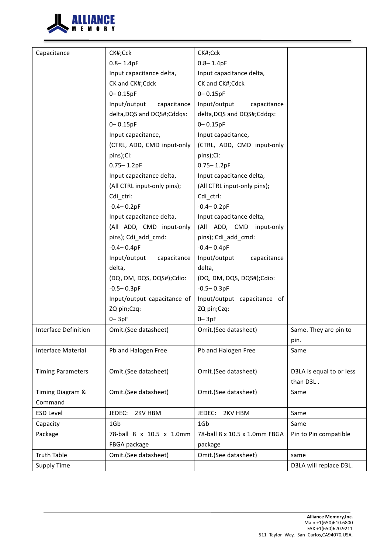

| Capacitance<br>CK#;Cck<br>CK#;Cck<br>$0.8 - 1.4pF$<br>$0.8 - 1.4pF$<br>Input capacitance delta,<br>Input capacitance delta,<br>CK and CK#;Cdck<br>CK and CK#;Cdck<br>$0 - 0.15pF$<br>$0 - 0.15pF$<br>Input/output<br>capacitance<br>Input/output<br>capacitance<br>delta, DQS and DQS#; Cddqs:<br>delta, DQS and DQS#; Cddqs:<br>$0 - 0.15pF$<br>$0 - 0.15pF$<br>Input capacitance,<br>Input capacitance,<br>(CTRL, ADD, CMD input-only<br>(CTRL, ADD, CMD input-only<br>pins);Ci:<br>pins);Ci:<br>$0.75 - 1.2pF$<br>$0.75 - 1.2pF$<br>Input capacitance delta,<br>Input capacitance delta,<br>(All CTRL input-only pins);<br>(All CTRL input-only pins);<br>Cdi_ctrl:<br>Cdi ctrl:<br>$-0.4 - 0.2pF$<br>$-0.4 - 0.2pF$<br>Input capacitance delta,<br>Input capacitance delta,<br>(All ADD, CMD input-only<br>(All ADD, CMD input-only<br>pins); Cdi_add_cmd:<br>pins); Cdi_add_cmd:<br>$-0.4 - 0.4pF$<br>$-0.4 - 0.4pF$<br>Input/output<br>capacitance<br>Input/output<br>capacitance<br>delta,<br>delta,<br>(DQ, DM, DQS, DQS#);Cdio:<br>(DQ, DM, DQS, DQS#);Cdio:<br>$-0.5 - 0.3pF$<br>$-0.5 - 0.3pF$<br>Input/output capacitance of<br>Input/output capacitance of<br>ZQ pin;Czq:<br>ZQ pin;Czq:<br>$0 - 3pF$<br>$0 - 3pF$<br>Interface Definition<br>Same. They are pin to<br>Omit.(See datasheet)<br>Omit.(See datasheet)<br>pin. |
|------------------------------------------------------------------------------------------------------------------------------------------------------------------------------------------------------------------------------------------------------------------------------------------------------------------------------------------------------------------------------------------------------------------------------------------------------------------------------------------------------------------------------------------------------------------------------------------------------------------------------------------------------------------------------------------------------------------------------------------------------------------------------------------------------------------------------------------------------------------------------------------------------------------------------------------------------------------------------------------------------------------------------------------------------------------------------------------------------------------------------------------------------------------------------------------------------------------------------------------------------------------------------------------------------------------------------------------|
|                                                                                                                                                                                                                                                                                                                                                                                                                                                                                                                                                                                                                                                                                                                                                                                                                                                                                                                                                                                                                                                                                                                                                                                                                                                                                                                                          |
|                                                                                                                                                                                                                                                                                                                                                                                                                                                                                                                                                                                                                                                                                                                                                                                                                                                                                                                                                                                                                                                                                                                                                                                                                                                                                                                                          |
|                                                                                                                                                                                                                                                                                                                                                                                                                                                                                                                                                                                                                                                                                                                                                                                                                                                                                                                                                                                                                                                                                                                                                                                                                                                                                                                                          |
|                                                                                                                                                                                                                                                                                                                                                                                                                                                                                                                                                                                                                                                                                                                                                                                                                                                                                                                                                                                                                                                                                                                                                                                                                                                                                                                                          |
|                                                                                                                                                                                                                                                                                                                                                                                                                                                                                                                                                                                                                                                                                                                                                                                                                                                                                                                                                                                                                                                                                                                                                                                                                                                                                                                                          |
|                                                                                                                                                                                                                                                                                                                                                                                                                                                                                                                                                                                                                                                                                                                                                                                                                                                                                                                                                                                                                                                                                                                                                                                                                                                                                                                                          |
|                                                                                                                                                                                                                                                                                                                                                                                                                                                                                                                                                                                                                                                                                                                                                                                                                                                                                                                                                                                                                                                                                                                                                                                                                                                                                                                                          |
|                                                                                                                                                                                                                                                                                                                                                                                                                                                                                                                                                                                                                                                                                                                                                                                                                                                                                                                                                                                                                                                                                                                                                                                                                                                                                                                                          |
|                                                                                                                                                                                                                                                                                                                                                                                                                                                                                                                                                                                                                                                                                                                                                                                                                                                                                                                                                                                                                                                                                                                                                                                                                                                                                                                                          |
|                                                                                                                                                                                                                                                                                                                                                                                                                                                                                                                                                                                                                                                                                                                                                                                                                                                                                                                                                                                                                                                                                                                                                                                                                                                                                                                                          |
|                                                                                                                                                                                                                                                                                                                                                                                                                                                                                                                                                                                                                                                                                                                                                                                                                                                                                                                                                                                                                                                                                                                                                                                                                                                                                                                                          |
|                                                                                                                                                                                                                                                                                                                                                                                                                                                                                                                                                                                                                                                                                                                                                                                                                                                                                                                                                                                                                                                                                                                                                                                                                                                                                                                                          |
|                                                                                                                                                                                                                                                                                                                                                                                                                                                                                                                                                                                                                                                                                                                                                                                                                                                                                                                                                                                                                                                                                                                                                                                                                                                                                                                                          |
|                                                                                                                                                                                                                                                                                                                                                                                                                                                                                                                                                                                                                                                                                                                                                                                                                                                                                                                                                                                                                                                                                                                                                                                                                                                                                                                                          |
|                                                                                                                                                                                                                                                                                                                                                                                                                                                                                                                                                                                                                                                                                                                                                                                                                                                                                                                                                                                                                                                                                                                                                                                                                                                                                                                                          |
|                                                                                                                                                                                                                                                                                                                                                                                                                                                                                                                                                                                                                                                                                                                                                                                                                                                                                                                                                                                                                                                                                                                                                                                                                                                                                                                                          |
|                                                                                                                                                                                                                                                                                                                                                                                                                                                                                                                                                                                                                                                                                                                                                                                                                                                                                                                                                                                                                                                                                                                                                                                                                                                                                                                                          |
|                                                                                                                                                                                                                                                                                                                                                                                                                                                                                                                                                                                                                                                                                                                                                                                                                                                                                                                                                                                                                                                                                                                                                                                                                                                                                                                                          |
|                                                                                                                                                                                                                                                                                                                                                                                                                                                                                                                                                                                                                                                                                                                                                                                                                                                                                                                                                                                                                                                                                                                                                                                                                                                                                                                                          |
|                                                                                                                                                                                                                                                                                                                                                                                                                                                                                                                                                                                                                                                                                                                                                                                                                                                                                                                                                                                                                                                                                                                                                                                                                                                                                                                                          |
|                                                                                                                                                                                                                                                                                                                                                                                                                                                                                                                                                                                                                                                                                                                                                                                                                                                                                                                                                                                                                                                                                                                                                                                                                                                                                                                                          |
|                                                                                                                                                                                                                                                                                                                                                                                                                                                                                                                                                                                                                                                                                                                                                                                                                                                                                                                                                                                                                                                                                                                                                                                                                                                                                                                                          |
|                                                                                                                                                                                                                                                                                                                                                                                                                                                                                                                                                                                                                                                                                                                                                                                                                                                                                                                                                                                                                                                                                                                                                                                                                                                                                                                                          |
|                                                                                                                                                                                                                                                                                                                                                                                                                                                                                                                                                                                                                                                                                                                                                                                                                                                                                                                                                                                                                                                                                                                                                                                                                                                                                                                                          |
|                                                                                                                                                                                                                                                                                                                                                                                                                                                                                                                                                                                                                                                                                                                                                                                                                                                                                                                                                                                                                                                                                                                                                                                                                                                                                                                                          |
|                                                                                                                                                                                                                                                                                                                                                                                                                                                                                                                                                                                                                                                                                                                                                                                                                                                                                                                                                                                                                                                                                                                                                                                                                                                                                                                                          |
|                                                                                                                                                                                                                                                                                                                                                                                                                                                                                                                                                                                                                                                                                                                                                                                                                                                                                                                                                                                                                                                                                                                                                                                                                                                                                                                                          |
|                                                                                                                                                                                                                                                                                                                                                                                                                                                                                                                                                                                                                                                                                                                                                                                                                                                                                                                                                                                                                                                                                                                                                                                                                                                                                                                                          |
|                                                                                                                                                                                                                                                                                                                                                                                                                                                                                                                                                                                                                                                                                                                                                                                                                                                                                                                                                                                                                                                                                                                                                                                                                                                                                                                                          |
| Interface Material<br>Pb and Halogen Free<br>Pb and Halogen Free<br>Same                                                                                                                                                                                                                                                                                                                                                                                                                                                                                                                                                                                                                                                                                                                                                                                                                                                                                                                                                                                                                                                                                                                                                                                                                                                                 |
|                                                                                                                                                                                                                                                                                                                                                                                                                                                                                                                                                                                                                                                                                                                                                                                                                                                                                                                                                                                                                                                                                                                                                                                                                                                                                                                                          |
| Omit.(See datasheet)<br>Omit.(See datasheet)<br>D3LA is equal to or less<br><b>Timing Parameters</b>                                                                                                                                                                                                                                                                                                                                                                                                                                                                                                                                                                                                                                                                                                                                                                                                                                                                                                                                                                                                                                                                                                                                                                                                                                     |
| than D3L.                                                                                                                                                                                                                                                                                                                                                                                                                                                                                                                                                                                                                                                                                                                                                                                                                                                                                                                                                                                                                                                                                                                                                                                                                                                                                                                                |
| Timing Diagram &<br>Omit.(See datasheet)<br>Omit.(See datasheet)<br>Same                                                                                                                                                                                                                                                                                                                                                                                                                                                                                                                                                                                                                                                                                                                                                                                                                                                                                                                                                                                                                                                                                                                                                                                                                                                                 |
| Command                                                                                                                                                                                                                                                                                                                                                                                                                                                                                                                                                                                                                                                                                                                                                                                                                                                                                                                                                                                                                                                                                                                                                                                                                                                                                                                                  |
| <b>ESD Level</b><br>JEDEC:<br>2KV HBM<br>JEDEC:<br>2KV HBM<br>Same                                                                                                                                                                                                                                                                                                                                                                                                                                                                                                                                                                                                                                                                                                                                                                                                                                                                                                                                                                                                                                                                                                                                                                                                                                                                       |
| 1Gb<br>1G <sub>b</sub><br>Capacity<br>Same                                                                                                                                                                                                                                                                                                                                                                                                                                                                                                                                                                                                                                                                                                                                                                                                                                                                                                                                                                                                                                                                                                                                                                                                                                                                                               |
| 78-ball 8 x 10.5 x 1.0mm FBGA<br>Package<br>78-ball 8 x 10.5 x 1.0mm<br>Pin to Pin compatible                                                                                                                                                                                                                                                                                                                                                                                                                                                                                                                                                                                                                                                                                                                                                                                                                                                                                                                                                                                                                                                                                                                                                                                                                                            |
| FBGA package<br>package                                                                                                                                                                                                                                                                                                                                                                                                                                                                                                                                                                                                                                                                                                                                                                                                                                                                                                                                                                                                                                                                                                                                                                                                                                                                                                                  |
| <b>Truth Table</b><br>Omit.(See datasheet)<br>Omit.(See datasheet)<br>same                                                                                                                                                                                                                                                                                                                                                                                                                                                                                                                                                                                                                                                                                                                                                                                                                                                                                                                                                                                                                                                                                                                                                                                                                                                               |
| <b>Supply Time</b><br>D3LA will replace D3L.                                                                                                                                                                                                                                                                                                                                                                                                                                                                                                                                                                                                                                                                                                                                                                                                                                                                                                                                                                                                                                                                                                                                                                                                                                                                                             |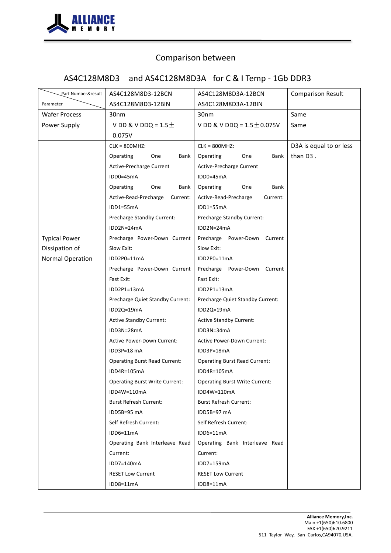

# AS4C128M8D3 and AS4C128M8D3A for C & I Temp - 1Gb DDR3

| Part Number&result   | AS4C128M8D3-12BCN                     | AS4C128M8D3A-12BCN                    | <b>Comparison Result</b> |
|----------------------|---------------------------------------|---------------------------------------|--------------------------|
| Parameter            | AS4C128M8D3-12BIN                     | AS4C128M8D3A-12BIN                    |                          |
| <b>Wafer Process</b> | 30 <sub>nm</sub>                      | 30 <sub>nm</sub>                      | Same                     |
| Power Supply         | V DD & V DDQ = $1.5\pm$               | V DD & V DDQ = $1.5 \pm 0.075V$       | Same                     |
|                      | 0.075V                                |                                       |                          |
|                      | $CLK = 800MHz$                        | $CLK = 800MHz$                        | D3A is equal to or less  |
|                      | Operating<br>Bank<br>One              | Operating<br>One<br>Bank              | than D3.                 |
|                      | Active-Precharge Current              | Active-Precharge Current              |                          |
|                      | IDD0=45mA                             | IDD0=45mA                             |                          |
|                      | Operating<br>One<br>Bank              | Operating<br>One<br>Bank              |                          |
|                      | Active-Read-Precharge<br>Current:     | Active-Read-Precharge<br>Current:     |                          |
|                      | IDD1=55mA                             | IDD1=55mA                             |                          |
|                      | Precharge Standby Current:            | Precharge Standby Current:            |                          |
|                      | IDD2N=24mA                            | $IDD2N=24mA$                          |                          |
| <b>Typical Power</b> | Precharge Power-Down Current          | Precharge Power-Down Current          |                          |
| Dissipation of       | Slow Exit:                            | Slow Exit:                            |                          |
| Normal Operation     | IDD2P0=11mA                           | IDD2P0=11mA                           |                          |
|                      | Precharge Power-Down Current          | Precharge Power-Down Current          |                          |
|                      | Fast Exit:                            | Fast Exit:                            |                          |
|                      | IDD2P1=13mA                           | IDD2P1=13mA                           |                          |
|                      | Precharge Quiet Standby Current:      | Precharge Quiet Standby Current:      |                          |
|                      | IDD2Q=19mA                            | IDD2Q=19mA                            |                          |
|                      | <b>Active Standby Current:</b>        | <b>Active Standby Current:</b>        |                          |
|                      | IDD3N=28mA                            | IDD3N=34mA                            |                          |
|                      | Active Power-Down Current:            | Active Power-Down Current:            |                          |
|                      | IDD3P=18 mA                           | IDD3P=18mA                            |                          |
|                      | <b>Operating Burst Read Current:</b>  | <b>Operating Burst Read Current:</b>  |                          |
|                      | IDD4R=105mA                           | IDD4R=105mA                           |                          |
|                      | <b>Operating Burst Write Current:</b> | <b>Operating Burst Write Current:</b> |                          |
|                      | IDD4W=110mA                           | IDD4W=110mA                           |                          |
|                      | <b>Burst Refresh Current:</b>         | <b>Burst Refresh Current:</b>         |                          |
|                      | IDD5B=95 mA                           | IDD5B=97 mA                           |                          |
|                      | Self Refresh Current:                 | Self Refresh Current:                 |                          |
|                      | IDD6=11mA                             | $IDD6=11mA$                           |                          |
|                      | Operating Bank Interleave Read        | Operating Bank Interleave Read        |                          |
|                      | Current:                              | Current:                              |                          |
|                      | IDD7=140mA                            | IDD7=159mA                            |                          |
|                      | <b>RESET Low Current</b>              | <b>RESET Low Current</b>              |                          |
|                      | IDD8=11mA                             | IDD8=11mA                             |                          |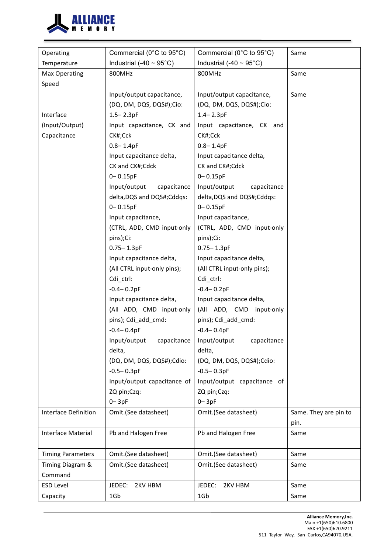

| Operating                | Commercial (0°C to 95°C)          | Commercial (0°C to 95°C)                          | Same                  |
|--------------------------|-----------------------------------|---------------------------------------------------|-----------------------|
| Temperature              | Industrial (-40 ~ $95^{\circ}$ C) | Industrial (-40 $\sim$ 95°C)                      |                       |
| Max Operating            | 800MHz                            | 800MHz                                            | Same                  |
| Speed                    |                                   |                                                   |                       |
|                          | Input/output capacitance,         | Input/output capacitance,                         | Same                  |
|                          | (DQ, DM, DQS, DQS#);Cio:          | (DQ, DM, DQS, DQS#);Cio:                          |                       |
| Interface                | $1.5 - 2.3pF$                     | $1.4 - 2.3pF$                                     |                       |
| (Input/Output)           | Input capacitance, CK and         | Input capacitance, CK and                         |                       |
| Capacitance              | CK#;Cck                           | CK#;Cck                                           |                       |
|                          | $0.8 - 1.4pF$                     | $0.8 - 1.4pF$                                     |                       |
|                          | Input capacitance delta,          | Input capacitance delta,                          |                       |
|                          | CK and CK#;Cdck                   | CK and CK#;Cdck                                   |                       |
|                          | $0 - 0.15pF$                      | $0 - 0.15pF$                                      |                       |
|                          | Input/output<br>capacitance       | Input/output<br>capacitance                       |                       |
|                          | delta, DQS and DQS#; Cddqs:       | delta, DQS and DQS#; Cddqs:                       |                       |
|                          | $0 - 0.15pF$                      | $0 - 0.15pF$                                      |                       |
|                          | Input capacitance,                | Input capacitance,                                |                       |
|                          | (CTRL, ADD, CMD input-only        | (CTRL, ADD, CMD input-only                        |                       |
|                          | pins);Ci:                         | pins);Ci:                                         |                       |
|                          | $0.75 - 1.3pF$                    | $0.75 - 1.3pF$                                    |                       |
|                          | Input capacitance delta,          | Input capacitance delta,                          |                       |
|                          | (All CTRL input-only pins);       | (All CTRL input-only pins);                       |                       |
|                          | Cdi_ctrl:                         | Cdi_ctrl:                                         |                       |
|                          | $-0.4 - 0.2pF$                    | $-0.4 - 0.2pF$                                    |                       |
|                          | Input capacitance delta,          | Input capacitance delta,                          |                       |
|                          | (All ADD, CMD input-only          | (All ADD, CMD input-only                          |                       |
|                          | pins); Cdi_add_cmd:               | pins); Cdi add cmd:                               |                       |
|                          | $-0.4 - 0.4pF$                    | $-0.4 - 0.4pF$                                    |                       |
|                          |                                   | Input/output capacitance Input/output capacitance |                       |
|                          | delta,                            | delta,                                            |                       |
|                          | (DQ, DM, DQS, DQS#);Cdio:         | (DQ, DM, DQS, DQS#);Cdio:                         |                       |
|                          | $-0.5 - 0.3pF$                    | $-0.5 - 0.3pF$                                    |                       |
|                          | Input/output capacitance of       | Input/output capacitance of                       |                       |
|                          | ZQ pin;Czq:                       | ZQ pin;Czq:                                       |                       |
|                          | $0 - 3pF$                         | $0 - 3pF$                                         |                       |
| Interface Definition     | Omit.(See datasheet)              | Omit.(See datasheet)                              | Same. They are pin to |
|                          |                                   |                                                   | pin.                  |
| Interface Material       | Pb and Halogen Free               | Pb and Halogen Free                               | Same                  |
| <b>Timing Parameters</b> | Omit.(See datasheet)              | Omit.(See datasheet)                              | Same                  |
| Timing Diagram &         | Omit.(See datasheet)              | Omit.(See datasheet)                              | Same                  |
| Command                  |                                   |                                                   |                       |
| <b>ESD Level</b>         | JEDEC:<br>2KV HBM                 | JEDEC:<br>2KV HBM                                 | Same                  |
| Capacity                 | 1Gb                               | 1Gb                                               | Same                  |
|                          |                                   |                                                   |                       |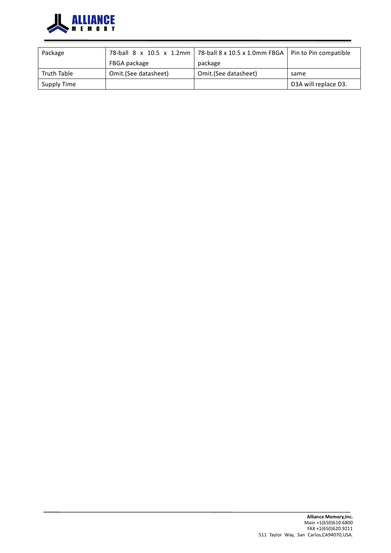

| Package     |                      | 78-ball 8 x 10.5 x 1.2mm   78-ball 8 x 10.5 x 1.0mm FBGA   Pin to Pin compatible |                      |
|-------------|----------------------|----------------------------------------------------------------------------------|----------------------|
|             | FBGA package         | package                                                                          |                      |
| Truth Table | Omit.(See datasheet) | Omit.(See datasheet)                                                             | same                 |
| Supply Time |                      |                                                                                  | D3A will replace D3. |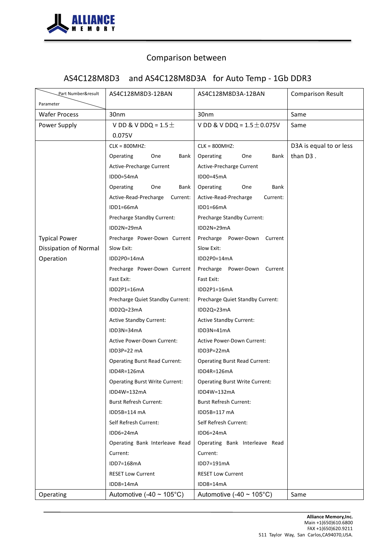

# AS4C128M8D3 and AS4C128M8D3A for Auto Temp - 1Gb DDR3

| Part Number&result<br>Parameter | AS4C128M8D3-12BAN                               | AS4C128M8D3A-12BAN                       | <b>Comparison Result</b> |
|---------------------------------|-------------------------------------------------|------------------------------------------|--------------------------|
| <b>Wafer Process</b>            | 30 <sub>nm</sub>                                | 30 <sub>nm</sub>                         | Same                     |
| Power Supply                    | V DD & V DDQ = $1.5\pm$<br>0.075V               | V DD & V DDQ = $1.5 \pm 0.075$ V         | Same                     |
|                                 | $CLK = 800MHz$                                  | $CLK = 800MHz$                           | D3A is equal to or less  |
|                                 | Operating<br>Bank<br>One                        | Operating<br>Bank<br>One                 | than D3.                 |
|                                 | Active-Precharge Current                        | Active-Precharge Current                 |                          |
|                                 | IDD0=54mA                                       | IDD0=45mA                                |                          |
|                                 | Operating<br>One<br>Bank                        | Operating<br>One<br>Bank                 |                          |
|                                 | Active-Read-Precharge<br>Current:               | Active-Read-Precharge<br>Current:        |                          |
|                                 | IDD1=66mA                                       | IDD1=66mA                                |                          |
|                                 | Precharge Standby Current:                      | Precharge Standby Current:               |                          |
|                                 | IDD2N=29mA                                      | $IDD2N=29mA$                             |                          |
| <b>Typical Power</b>            | Precharge Power-Down Current                    | Precharge Power-Down Current             |                          |
| <b>Dissipation of Normal</b>    | Slow Exit:                                      | Slow Exit:                               |                          |
| Operation                       | IDD2P0=14mA                                     | IDD2P0=14mA                              |                          |
|                                 | Precharge Power-Down Current                    | Precharge Power-Down Current             |                          |
|                                 | Fast Exit:                                      | Fast Exit:                               |                          |
|                                 | IDD2P1=16mA                                     | IDD2P1=16mA                              |                          |
|                                 | Precharge Quiet Standby Current:                | Precharge Quiet Standby Current:         |                          |
|                                 | IDD2Q=23mA                                      | IDD2Q=23mA                               |                          |
|                                 | <b>Active Standby Current:</b>                  | <b>Active Standby Current:</b>           |                          |
|                                 | IDD3N=34mA<br><b>Active Power-Down Current:</b> | IDD3N=41mA<br>Active Power-Down Current: |                          |
|                                 | IDD3P=22 mA                                     | IDD3P=22mA                               |                          |
|                                 | <b>Operating Burst Read Current:</b>            | <b>Operating Burst Read Current:</b>     |                          |
|                                 | IDD4R=126mA                                     | IDD4R=126mA                              |                          |
|                                 | <b>Operating Burst Write Current:</b>           | <b>Operating Burst Write Current:</b>    |                          |
|                                 | IDD4W=132mA                                     | IDD4W=132mA                              |                          |
|                                 | <b>Burst Refresh Current:</b>                   | <b>Burst Refresh Current:</b>            |                          |
|                                 | IDD5B=114 mA                                    | IDD5B=117 mA                             |                          |
|                                 | Self Refresh Current:                           | Self Refresh Current:                    |                          |
|                                 | IDD6=24mA                                       | IDD6=24mA                                |                          |
|                                 | Operating Bank Interleave Read                  | Operating Bank Interleave Read           |                          |
|                                 | Current:                                        | Current:                                 |                          |
|                                 | IDD7=168mA                                      | IDD7=191mA                               |                          |
|                                 | <b>RESET Low Current</b>                        | <b>RESET Low Current</b>                 |                          |
|                                 | IDD8=14mA                                       | IDD8=14mA                                |                          |
| Operating                       | Automotive (-40 ~ $105^{\circ}$ C)              | Automotive (-40 ~ $105^{\circ}$ C)       | Same                     |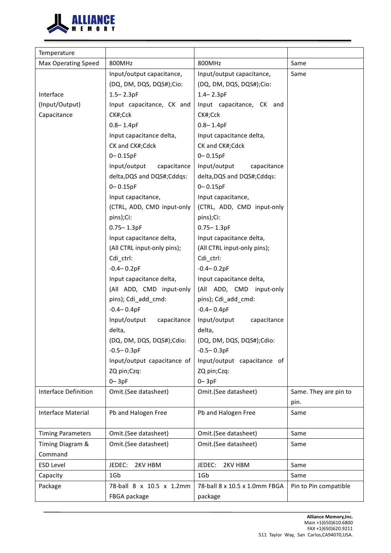

| Temperature                |                             |                               |                       |
|----------------------------|-----------------------------|-------------------------------|-----------------------|
| <b>Max Operating Speed</b> | 800MHz                      | 800MHz                        | Same                  |
|                            | Input/output capacitance,   | Input/output capacitance,     | Same                  |
|                            | (DQ, DM, DQS, DQS#);Cio:    | (DQ, DM, DQS, DQS#);Cio:      |                       |
| Interface                  | $1.5 - 2.3pF$               | $1.4 - 2.3pF$                 |                       |
| (Input/Output)             | Input capacitance, CK and   | Input capacitance, CK and     |                       |
| Capacitance                | CK#;Cck                     | CK#;Cck                       |                       |
|                            | $0.8 - 1.4pF$               | $0.8 - 1.4pF$                 |                       |
|                            | Input capacitance delta,    | Input capacitance delta,      |                       |
|                            | CK and CK#;Cdck             | CK and CK#;Cdck               |                       |
|                            | $0 - 0.15pF$                | $0 - 0.15pF$                  |                       |
|                            | Input/output<br>capacitance | Input/output<br>capacitance   |                       |
|                            | delta, DQS and DQS#; Cddqs: | delta, DQS and DQS#; Cddqs:   |                       |
|                            | $0 - 0.15pF$                | $0 - 0.15pF$                  |                       |
|                            | Input capacitance,          | Input capacitance,            |                       |
|                            | (CTRL, ADD, CMD input-only  | (CTRL, ADD, CMD input-only    |                       |
|                            | pins);Ci:                   | pins);Ci:                     |                       |
|                            | $0.75 - 1.3pF$              | $0.75 - 1.3pF$                |                       |
|                            | Input capacitance delta,    | Input capacitance delta,      |                       |
|                            | (All CTRL input-only pins); | (All CTRL input-only pins);   |                       |
|                            | Cdi_ctrl:                   | Cdi_ctrl:                     |                       |
|                            | $-0.4 - 0.2pF$              | $-0.4 - 0.2pF$                |                       |
|                            | Input capacitance delta,    | Input capacitance delta,      |                       |
|                            | (All ADD, CMD input-only    | (All ADD, CMD input-only      |                       |
|                            | pins); Cdi_add_cmd:         | pins); Cdi_add_cmd:           |                       |
|                            | $-0.4 - 0.4pF$              | $-0.4 - 0.4pF$                |                       |
|                            | Input/output<br>capacitance | Input/output<br>capacitance   |                       |
|                            | delta,                      | delta,                        |                       |
|                            | (DQ, DM, DQS, DQS#);Cdio:   | (DQ, DM, DQS, DQS#);Cdio:     |                       |
|                            | $-0.5 - 0.3pF$              | $-0.5 - 0.3pF$                |                       |
|                            | Input/output capacitance of | Input/output capacitance of   |                       |
|                            | ZQ pin;Czq:                 | ZQ pin;Czq:                   |                       |
|                            | $0 - 3pF$                   | $0 - 3pF$                     |                       |
| Interface Definition       | Omit.(See datasheet)        | Omit.(See datasheet)          | Same. They are pin to |
|                            |                             |                               | pin.                  |
| <b>Interface Material</b>  | Pb and Halogen Free         | Pb and Halogen Free           | Same                  |
|                            |                             |                               |                       |
| <b>Timing Parameters</b>   | Omit.(See datasheet)        | Omit.(See datasheet)          | Same                  |
| Timing Diagram &           | Omit.(See datasheet)        | Omit.(See datasheet)          | Same                  |
| Command                    |                             |                               |                       |
| <b>ESD Level</b>           | JEDEC:<br>2KV HBM           | JEDEC:<br>2KV HBM             | Same                  |
| Capacity                   | 1Gb                         | 1Gb                           | Same                  |
| Package                    | 78-ball 8 x 10.5 x 1.2mm    | 78-ball 8 x 10.5 x 1.0mm FBGA | Pin to Pin compatible |
|                            | FBGA package                | package                       |                       |
|                            |                             |                               |                       |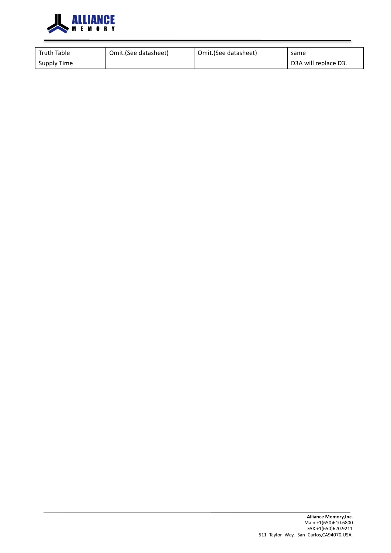

| <b>Truth Table</b> | Omit.(See datasheet) | Omit.(See datasheet) | same                 |
|--------------------|----------------------|----------------------|----------------------|
| Supply Time        |                      |                      | D3A will replace D3. |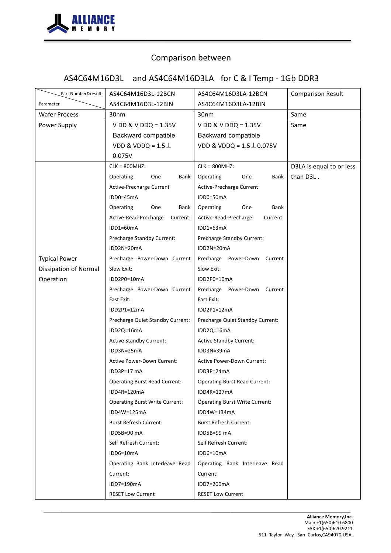

# AS4C64M16D3L and AS4C64M16D3LA for C & I Temp - 1Gb DDR3

| Part Number&result    | AS4C64M16D3L-12BCN                    | AS4C64M16D3LA-12BCN                   | <b>Comparison Result</b> |
|-----------------------|---------------------------------------|---------------------------------------|--------------------------|
| Parameter             | AS4C64M16D3L-12BIN                    | AS4C64M16D3LA-12BIN                   |                          |
| <b>Wafer Process</b>  | 30 <sub>nm</sub>                      | 30nm                                  | Same                     |
| Power Supply          | V DD & V DDQ = $1.35V$                | V DD & V DDQ = $1.35V$                | Same                     |
|                       | Backward compatible                   | Backward compatible                   |                          |
|                       | VDD & VDDQ = $1.5\pm$                 | VDD & VDDQ = $1.5 \pm 0.075V$         |                          |
|                       | 0.075V                                |                                       |                          |
|                       | $CLK = 800MHz$                        | $CLK = 800MHz$                        | D3LA is equal to or less |
|                       | Operating<br>One<br>Bank              | Operating<br>One<br>Bank              | than D3L.                |
|                       | Active-Precharge Current              | Active-Precharge Current              |                          |
|                       | IDD0=45mA                             | IDD0=50mA                             |                          |
|                       | Operating<br>One<br>Bank              | One<br>Bank<br>Operating              |                          |
|                       | Active-Read-Precharge<br>Current:     | Active-Read-Precharge<br>Current:     |                          |
|                       | IDD1=60mA                             | $IDD1=63mA$                           |                          |
|                       | Precharge Standby Current:            | Precharge Standby Current:            |                          |
|                       | IDD2N=20mA                            | IDD2N=20mA                            |                          |
| <b>Typical Power</b>  | Precharge Power-Down Current          | Precharge Power-Down Current          |                          |
| Dissipation of Normal | Slow Exit:                            | Slow Exit:                            |                          |
| Operation             | IDD2P0=10mA                           | IDD2P0=10mA                           |                          |
|                       | Precharge Power-Down Current          | Precharge Power-Down<br>Current       |                          |
|                       | Fast Exit:                            | Fast Exit:                            |                          |
|                       | IDD2P1=12mA                           | IDD2P1=12mA                           |                          |
|                       | Precharge Quiet Standby Current:      | Precharge Quiet Standby Current:      |                          |
|                       | IDD2Q=16mA                            | IDD2Q=16mA                            |                          |
|                       | <b>Active Standby Current:</b>        | <b>Active Standby Current:</b>        |                          |
|                       | IDD3N=25mA                            | IDD3N=39mA                            |                          |
|                       | <b>Active Power-Down Current:</b>     | <b>Active Power-Down Current:</b>     |                          |
|                       | IDD3P=17 mA                           | IDD3P=24mA                            |                          |
|                       | <b>Operating Burst Read Current:</b>  | <b>Operating Burst Read Current:</b>  |                          |
|                       | IDD4R=120mA                           | IDD4R=127mA                           |                          |
|                       | <b>Operating Burst Write Current:</b> | <b>Operating Burst Write Current:</b> |                          |
|                       | IDD4W=125mA                           | IDD4W=134mA                           |                          |
|                       | <b>Burst Refresh Current:</b>         | <b>Burst Refresh Current:</b>         |                          |
|                       | IDD5B=90 mA                           | IDD5B=99 mA                           |                          |
|                       | Self Refresh Current:                 | Self Refresh Current:                 |                          |
|                       | IDD6=10mA                             | IDD6=10mA                             |                          |
|                       | Operating Bank Interleave Read        | Operating Bank Interleave Read        |                          |
|                       | Current:                              | Current:                              |                          |
|                       | IDD7=190mA                            | IDD7=200mA                            |                          |
|                       | <b>RESET Low Current</b>              | <b>RESET Low Current</b>              |                          |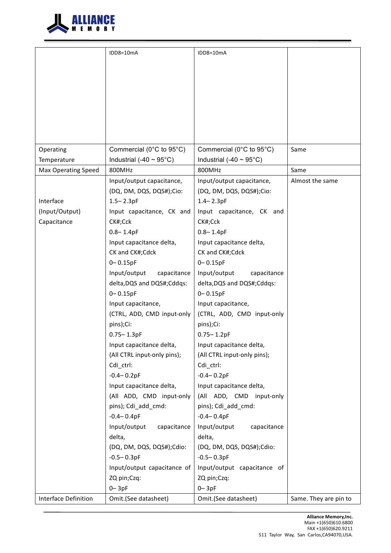

|                            | IDD8=10mA                    | IDD8=10mA                    |                       |
|----------------------------|------------------------------|------------------------------|-----------------------|
|                            |                              |                              |                       |
|                            |                              |                              |                       |
|                            |                              |                              |                       |
|                            |                              |                              |                       |
|                            |                              |                              |                       |
|                            |                              |                              |                       |
|                            |                              |                              |                       |
|                            |                              |                              |                       |
| Operating                  | Commercial (0°C to 95°C)     | Commercial (0°C to 95°C)     | Same                  |
| Temperature                | Industrial (-40 $\sim$ 95°C) | Industrial (-40 $\sim$ 95°C) |                       |
| <b>Max Operating Speed</b> | 800MHz                       | 800MHz                       | Same                  |
|                            | Input/output capacitance,    | Input/output capacitance,    | Almost the same       |
|                            | (DQ, DM, DQS, DQS#);Cio:     | (DQ, DM, DQS, DQS#);Cio:     |                       |
| Interface                  | $1.5 - 2.3pF$                | $1.4 - 2.3pF$                |                       |
| (Input/Output)             | Input capacitance, CK and    | Input capacitance, CK and    |                       |
| Capacitance                | CK#;Cck                      | CK#;Cck                      |                       |
|                            | $0.8 - 1.4pF$                | $0.8 - 1.4pF$                |                       |
|                            | Input capacitance delta,     | Input capacitance delta,     |                       |
|                            | CK and CK#;Cdck              | CK and CK#;Cdck              |                       |
|                            | $0 - 0.15pF$                 | $0 - 0.15pF$                 |                       |
|                            | Input/output<br>capacitance  | Input/output<br>capacitance  |                       |
|                            | delta, DQS and DQS#; Cddqs:  | delta, DQS and DQS#; Cddqs:  |                       |
|                            | $0 - 0.15pF$                 | $0 - 0.15pF$                 |                       |
|                            | Input capacitance,           | Input capacitance,           |                       |
|                            | (CTRL, ADD, CMD input-only   | (CTRL, ADD, CMD input-only   |                       |
|                            | pins);Ci:                    | pins);Ci:                    |                       |
|                            | $0.75 - 1.3pF$               | $0.75 - 1.2pF$               |                       |
|                            | Input capacitance delta,     | Input capacitance delta,     |                       |
|                            | (All CTRL input-only pins);  | (All CTRL input-only pins);  |                       |
|                            | Cdi ctrl:<br>$-0.4 - 0.2pF$  | Cdi_ctrl:<br>$-0.4 - 0.2pF$  |                       |
|                            | Input capacitance delta,     | Input capacitance delta,     |                       |
|                            | (All ADD, CMD input-only     | (All ADD, CMD input-only     |                       |
|                            | pins); Cdi_add_cmd:          | pins); Cdi_add_cmd:          |                       |
|                            | $-0.4 - 0.4pF$               | $-0.4 - 0.4pF$               |                       |
|                            | Input/output<br>capacitance  | Input/output<br>capacitance  |                       |
|                            | delta,                       | delta,                       |                       |
|                            | (DQ, DM, DQS, DQS#);Cdio:    | (DQ, DM, DQS, DQS#);Cdio:    |                       |
|                            | $-0.5 - 0.3pF$               | $-0.5 - 0.3pF$               |                       |
|                            | Input/output capacitance of  | Input/output capacitance of  |                       |
|                            | ZQ pin;Czq:                  | ZQ pin;Czq:                  |                       |
|                            | $0 - 3pF$                    | $0 - 3pF$                    |                       |
| Interface Definition       | Omit.(See datasheet)         | Omit.(See datasheet)         | Same. They are pin to |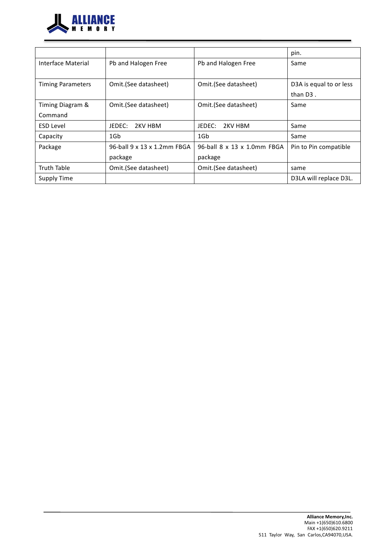

|                          |                             |                             | pin.                    |
|--------------------------|-----------------------------|-----------------------------|-------------------------|
| Interface Material       | Pb and Halogen Free         | Pb and Halogen Free         | Same                    |
|                          |                             |                             |                         |
| <b>Timing Parameters</b> | Omit.(See datasheet)        | Omit.(See datasheet)        | D3A is equal to or less |
|                          |                             |                             | than $D3$ .             |
| Timing Diagram &         | Omit.(See datasheet)        | Omit.(See datasheet)        | Same                    |
| Command                  |                             |                             |                         |
| <b>ESD Level</b>         | JEDEC:<br>2KV HBM           | JEDEC:<br>2KV HBM           | Same                    |
| Capacity                 | 1Gb                         | 1Gb                         | Same                    |
| Package                  | 96-ball 9 x 13 x 1.2mm FBGA | 96-ball 8 x 13 x 1.0mm FBGA | Pin to Pin compatible   |
|                          | package                     | package                     |                         |
| <b>Truth Table</b>       | Omit.(See datasheet)        | Omit.(See datasheet)        | same                    |
| Supply Time              |                             |                             | D3LA will replace D3L.  |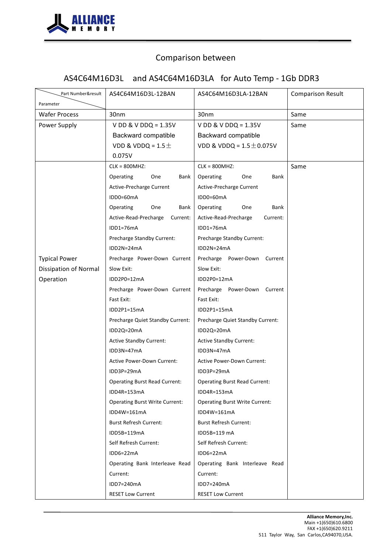

# AS4C64M16D3L and AS4C64M16D3LA for Auto Temp - 1Gb DDR3

| Part Number&result<br>Parameter | AS4C64M16D3L-12BAN                    | AS4C64M16D3LA-12BAN                   | <b>Comparison Result</b> |
|---------------------------------|---------------------------------------|---------------------------------------|--------------------------|
| <b>Wafer Process</b>            | 30nm                                  | 30nm                                  | Same                     |
| Power Supply                    | V DD & V DDQ = $1.35V$                | V DD & V DDQ = $1.35V$                | Same                     |
|                                 | Backward compatible                   | Backward compatible                   |                          |
|                                 | VDD & VDDQ = $1.5 \pm$                | VDD & VDDQ = $1.5 \pm 0.075V$         |                          |
|                                 | 0.075V                                |                                       |                          |
|                                 | $CLK = 800MHz$                        | $CLK = 800MHz$                        | Same                     |
|                                 | Operating<br>One<br>Bank              | Operating<br>One<br>Bank              |                          |
|                                 | Active-Precharge Current              | Active-Precharge Current              |                          |
|                                 | IDD0=60mA                             | IDD0=60mA                             |                          |
|                                 | Operating<br>One<br>Bank              | Operating<br>One<br>Bank              |                          |
|                                 | Active-Read-Precharge<br>Current:     | Active-Read-Precharge<br>Current:     |                          |
|                                 | IDD1=76mA                             | IDD1=76mA                             |                          |
|                                 | Precharge Standby Current:            | Precharge Standby Current:            |                          |
|                                 | IDD2N=24mA                            | IDD2N=24mA                            |                          |
| <b>Typical Power</b>            | Precharge Power-Down Current          | Precharge Power-Down Current          |                          |
| <b>Dissipation of Normal</b>    | Slow Exit:                            | Slow Exit:                            |                          |
| Operation                       | IDD2P0=12mA                           | IDD2P0=12mA                           |                          |
|                                 | Precharge Power-Down Current          | Precharge Power-Down Current          |                          |
|                                 | Fast Exit:                            | Fast Exit:                            |                          |
|                                 | IDD2P1=15mA                           | IDD2P1=15mA                           |                          |
|                                 | Precharge Quiet Standby Current:      | Precharge Quiet Standby Current:      |                          |
|                                 | IDD2Q=20mA                            | IDD2Q=20mA                            |                          |
|                                 | <b>Active Standby Current:</b>        | <b>Active Standby Current:</b>        |                          |
|                                 | IDD3N=47mA                            | IDD3N=47mA                            |                          |
|                                 | <b>Active Power-Down Current:</b>     | <b>Active Power-Down Current:</b>     |                          |
|                                 | IDD3P=29mA                            | IDD3P=29mA                            |                          |
|                                 | <b>Operating Burst Read Current:</b>  | <b>Operating Burst Read Current:</b>  |                          |
|                                 | IDD4R=153mA                           | IDD4R=153mA                           |                          |
|                                 | <b>Operating Burst Write Current:</b> | <b>Operating Burst Write Current:</b> |                          |
|                                 | IDD4W=161mA                           | IDD4W=161mA                           |                          |
|                                 | <b>Burst Refresh Current:</b>         | <b>Burst Refresh Current:</b>         |                          |
|                                 | IDD5B=119mA                           | IDD5B=119 mA                          |                          |
|                                 | Self Refresh Current:                 | Self Refresh Current:                 |                          |
|                                 | IDD6=22mA                             | IDD6=22mA                             |                          |
|                                 | Operating Bank Interleave Read        | Operating Bank Interleave Read        |                          |
|                                 | Current:                              | Current:                              |                          |
|                                 | IDD7=240mA                            | IDD7=240mA                            |                          |
|                                 | <b>RESET Low Current</b>              | <b>RESET Low Current</b>              |                          |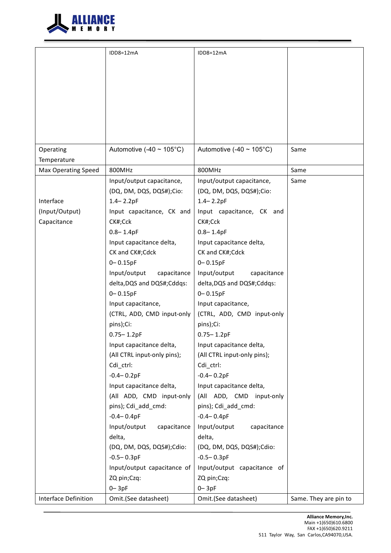

|                      | IDD8=12mA                          | IDD8=12mA                          |                       |
|----------------------|------------------------------------|------------------------------------|-----------------------|
|                      |                                    |                                    |                       |
|                      |                                    |                                    |                       |
|                      |                                    |                                    |                       |
|                      |                                    |                                    |                       |
|                      |                                    |                                    |                       |
|                      |                                    |                                    |                       |
|                      |                                    |                                    |                       |
|                      |                                    |                                    |                       |
|                      |                                    |                                    |                       |
| Operating            | Automotive (-40 ~ $105^{\circ}$ C) | Automotive (-40 ~ $105^{\circ}$ C) | Same                  |
| Temperature          |                                    |                                    |                       |
| Max Operating Speed  | 800MHz                             | 800MHz                             | Same                  |
|                      | Input/output capacitance,          | Input/output capacitance,          | Same                  |
|                      | (DQ, DM, DQS, DQS#);Cio:           | (DQ, DM, DQS, DQS#);Cio:           |                       |
| Interface            | $1.4 - 2.2pF$                      | $1.4 - 2.2pF$                      |                       |
| (Input/Output)       | Input capacitance, CK and          | Input capacitance, CK and          |                       |
| Capacitance          | CK#;Cck                            | CK#;Cck                            |                       |
|                      | $0.8 - 1.4pF$                      | $0.8 - 1.4pF$                      |                       |
|                      | Input capacitance delta,           | Input capacitance delta,           |                       |
|                      | CK and CK#;Cdck                    | CK and CK#;Cdck                    |                       |
|                      | $0 - 0.15pF$                       | $0 - 0.15pF$                       |                       |
|                      | Input/output<br>capacitance        | Input/output<br>capacitance        |                       |
|                      | delta, DQS and DQS#; Cddqs:        | delta, DQS and DQS#; Cddqs:        |                       |
|                      | $0 - 0.15pF$                       | $0 - 0.15pF$                       |                       |
|                      |                                    |                                    |                       |
|                      | Input capacitance,                 | Input capacitance,                 |                       |
|                      | (CTRL, ADD, CMD input-only         | (CTRL, ADD, CMD input-only         |                       |
|                      | pins);Ci:                          | pins);Ci:                          |                       |
|                      | $0.75 - 1.2pF$                     | $0.75 - 1.2pF$                     |                       |
|                      | Input capacitance delta,           | Input capacitance delta,           |                       |
|                      | (All CTRL input-only pins);        | (All CTRL input-only pins);        |                       |
|                      | Cdi ctrl:                          | Cdi ctrl:                          |                       |
|                      | $-0.4 - 0.2pF$                     | $-0.4 - 0.2pF$                     |                       |
|                      | Input capacitance delta,           | Input capacitance delta,           |                       |
|                      | (All ADD, CMD input-only           | (All ADD, CMD input-only           |                       |
|                      | pins); Cdi_add_cmd:                | pins); Cdi_add_cmd:                |                       |
|                      | $-0.4 - 0.4pF$                     | $-0.4 - 0.4pF$                     |                       |
|                      | Input/output<br>capacitance        | Input/output<br>capacitance        |                       |
|                      | delta,                             | delta,                             |                       |
|                      | (DQ, DM, DQS, DQS#);Cdio:          | (DQ, DM, DQS, DQS#);Cdio:          |                       |
|                      | $-0.5 - 0.3pF$                     | $-0.5 - 0.3pF$                     |                       |
|                      | Input/output capacitance of        | Input/output capacitance of        |                       |
|                      | ZQ pin;Czq:                        | ZQ pin;Czq:                        |                       |
|                      | $0 - 3pF$                          | $0 - 3pF$                          |                       |
| Interface Definition | Omit.(See datasheet)               | Omit.(See datasheet)               | Same. They are pin to |
|                      |                                    |                                    |                       |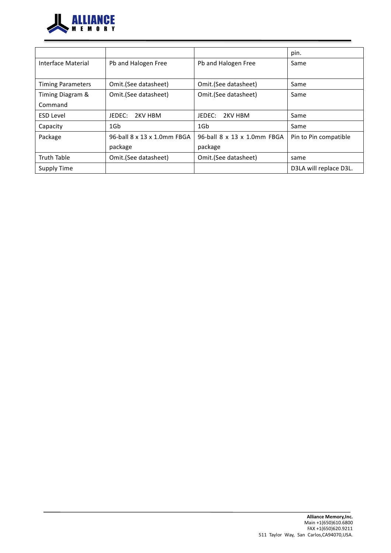

|                          |                             |                             | pin.                   |
|--------------------------|-----------------------------|-----------------------------|------------------------|
| Interface Material       | Pb and Halogen Free         | Pb and Halogen Free         | Same                   |
| <b>Timing Parameters</b> | Omit.(See datasheet)        | Omit.(See datasheet)        | Same                   |
| Timing Diagram &         | Omit.(See datasheet)        | Omit.(See datasheet)        | Same                   |
| Command                  |                             |                             |                        |
| <b>ESD Level</b>         | JFDFC:<br>2KV HBM           | JEDEC:<br>2KV HBM           | Same                   |
| Capacity                 | 1Gb                         | 1G <sub>b</sub>             | Same                   |
| Package                  | 96-ball 8 x 13 x 1.0mm FBGA | 96-ball 8 x 13 x 1.0mm FBGA | Pin to Pin compatible  |
|                          | package                     | package                     |                        |
| <b>Truth Table</b>       | Omit.(See datasheet)        | Omit.(See datasheet)        | same                   |
| <b>Supply Time</b>       |                             |                             | D3LA will replace D3L. |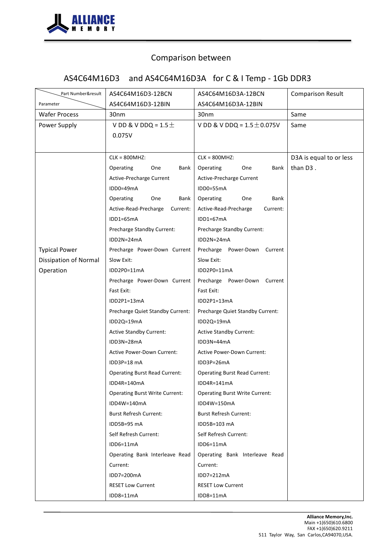

# AS4C64M16D3 and AS4C64M16D3A for C & I Temp - 1Gb DDR3

| Part Number&result    | AS4C64M16D3-12BCN                     | AS4C64M16D3A-12BCN                    | <b>Comparison Result</b> |
|-----------------------|---------------------------------------|---------------------------------------|--------------------------|
| Parameter             | AS4C64M16D3-12BIN                     | AS4C64M16D3A-12BIN                    |                          |
| <b>Wafer Process</b>  | 30nm                                  | 30nm                                  | Same                     |
| Power Supply          | V DD & V DDQ = $1.5 \pm$<br>0.075V    | V DD & V DDQ = $1.5 \pm 0.075V$       | Same                     |
|                       | $CLK = 800MHz$                        | $CLK = 800MHz$                        | D3A is equal to or less  |
|                       | Operating<br>One<br>Bank              | Operating<br>One<br>Bank              | than D3.                 |
|                       | Active-Precharge Current              | Active-Precharge Current              |                          |
|                       | IDD0=49mA                             | IDD0=55mA                             |                          |
|                       | Operating<br>One<br>Bank              | Operating<br>Bank<br>One              |                          |
|                       | Active-Read-Precharge<br>Current:     | Active-Read-Precharge<br>Current:     |                          |
|                       | IDD1=65mA                             | IDD1=67mA                             |                          |
|                       | Precharge Standby Current:            | Precharge Standby Current:            |                          |
|                       | IDD2N=24mA                            | IDD2N=24mA                            |                          |
| <b>Typical Power</b>  | Precharge Power-Down Current          | Precharge Power-Down Current          |                          |
| Dissipation of Normal | Slow Exit:                            | Slow Exit:                            |                          |
| Operation             | IDD2P0=11mA                           | IDD2P0=11mA                           |                          |
|                       | Precharge Power-Down Current          | Precharge Power-Down Current          |                          |
|                       | Fast Exit:                            | Fast Exit:                            |                          |
|                       | IDD2P1=13mA                           | IDD2P1=13mA                           |                          |
|                       | Precharge Quiet Standby Current:      | Precharge Quiet Standby Current:      |                          |
|                       | IDD2Q=19mA                            | IDD2Q=19mA                            |                          |
|                       | <b>Active Standby Current:</b>        | <b>Active Standby Current:</b>        |                          |
|                       | IDD3N=28mA                            | IDD3N=44mA                            |                          |
|                       | <b>Active Power-Down Current:</b>     | Active Power-Down Current:            |                          |
|                       | IDD3P=18 mA                           | IDD3P=26mA                            |                          |
|                       | <b>Operating Burst Read Current:</b>  | <b>Operating Burst Read Current:</b>  |                          |
|                       | IDD4R=140mA                           | IDD4R=141mA                           |                          |
|                       | <b>Operating Burst Write Current:</b> | <b>Operating Burst Write Current:</b> |                          |
|                       | IDD4W=140mA                           | IDD4W=150mA                           |                          |
|                       | <b>Burst Refresh Current:</b>         | <b>Burst Refresh Current:</b>         |                          |
|                       | IDD5B=95 mA                           | IDD5B=103 mA                          |                          |
|                       | Self Refresh Current:                 | Self Refresh Current:                 |                          |
|                       | IDD6=11mA                             | IDD6=11mA                             |                          |
|                       | Operating Bank Interleave Read        | Operating Bank Interleave Read        |                          |
|                       | Current:                              | Current:                              |                          |
|                       | IDD7=200mA                            | IDD7=212mA                            |                          |
|                       | <b>RESET Low Current</b>              | <b>RESET Low Current</b>              |                          |
|                       | IDD8=11mA                             | IDD8=11mA                             |                          |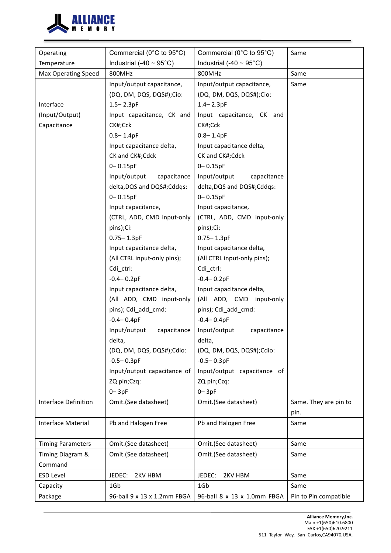

| Operating                   | Commercial (0°C to 95°C)     | Commercial (0°C to 95°C)     | Same                  |
|-----------------------------|------------------------------|------------------------------|-----------------------|
| Temperature                 | Industrial (-40 $\sim$ 95°C) | Industrial (-40 $\sim$ 95°C) |                       |
| <b>Max Operating Speed</b>  | 800MHz                       | 800MHz                       | Same                  |
|                             | Input/output capacitance,    | Input/output capacitance,    | Same                  |
|                             | (DQ, DM, DQS, DQS#);Cio:     | (DQ, DM, DQS, DQS#);Cio:     |                       |
| Interface                   | $1.5 - 2.3pF$                | $1.4 - 2.3pF$                |                       |
| (Input/Output)              | Input capacitance, CK and    | Input capacitance, CK and    |                       |
| Capacitance                 | CK#;Cck                      | CK#;Cck                      |                       |
|                             | $0.8 - 1.4pF$                | $0.8 - 1.4pF$                |                       |
|                             | Input capacitance delta,     | Input capacitance delta,     |                       |
|                             | CK and CK#;Cdck              | CK and CK#;Cdck              |                       |
|                             | $0 - 0.15pF$                 | $0 - 0.15pF$                 |                       |
|                             | Input/output<br>capacitance  | Input/output<br>capacitance  |                       |
|                             | delta, DQS and DQS#; Cddqs:  | delta, DQS and DQS#; Cddqs:  |                       |
|                             | $0 - 0.15pF$                 | $0 - 0.15pF$                 |                       |
|                             | Input capacitance,           | Input capacitance,           |                       |
|                             | (CTRL, ADD, CMD input-only   | (CTRL, ADD, CMD input-only   |                       |
|                             | pins);Ci:                    | pins);Ci:                    |                       |
|                             | $0.75 - 1.3pF$               | $0.75 - 1.3pF$               |                       |
|                             | Input capacitance delta,     | Input capacitance delta,     |                       |
|                             | (All CTRL input-only pins);  | (All CTRL input-only pins);  |                       |
|                             | Cdi_ctrl:                    | Cdi_ctrl:                    |                       |
|                             | $-0.4 - 0.2pF$               | $-0.4 - 0.2pF$               |                       |
|                             | Input capacitance delta,     | Input capacitance delta,     |                       |
|                             | (All ADD, CMD input-only     | (All ADD, CMD input-only     |                       |
|                             | pins); Cdi_add_cmd:          | pins); Cdi_add_cmd:          |                       |
|                             | $-0.4 - 0.4pF$               | $-0.4 - 0.4pF$               |                       |
|                             | Input/output<br>capacitance  | Input/output<br>capacitance  |                       |
|                             | delta,                       | delta,                       |                       |
|                             | (DQ, DM, DQS, DQS#);Cdio:    | (DQ, DM, DQS, DQS#);Cdio:    |                       |
|                             | $-0.5 - 0.3pF$               | $-0.5 - 0.3pF$               |                       |
|                             | Input/output capacitance of  | Input/output capacitance of  |                       |
|                             | ZQ pin;Czq:                  | ZQ pin;Czq:                  |                       |
|                             | $0 - 3pF$                    | $0 - 3pF$                    |                       |
| Interface Definition        | Omit.(See datasheet)         | Omit.(See datasheet)         | Same. They are pin to |
|                             |                              |                              | pin.                  |
| Interface Material          | Pb and Halogen Free          | Pb and Halogen Free          | Same                  |
|                             |                              |                              |                       |
| <b>Timing Parameters</b>    | Omit.(See datasheet)         | Omit.(See datasheet)         | Same                  |
| Timing Diagram &<br>Command | Omit.(See datasheet)         | Omit.(See datasheet)         | Same                  |
| <b>ESD Level</b>            | JEDEC:<br>2KV HBM            | JEDEC:<br>2KV HBM            | Same                  |
| Capacity                    | 1Gb                          | 1Gb                          | Same                  |
| Package                     | 96-ball 9 x 13 x 1.2mm FBGA  | 96-ball 8 x 13 x 1.0mm FBGA  | Pin to Pin compatible |
|                             |                              |                              |                       |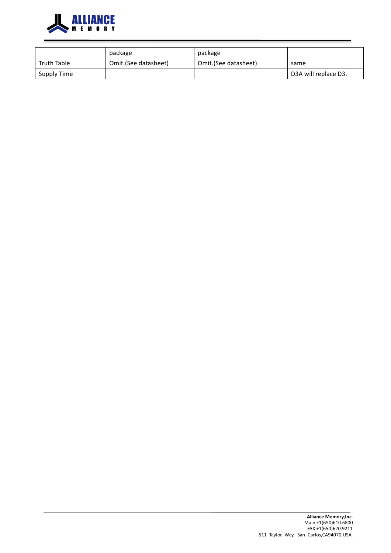

|             | package              | package              |                      |
|-------------|----------------------|----------------------|----------------------|
| Truth Table | Omit.(See datasheet) | Omit.(See datasheet) | same                 |
| Supply Time |                      |                      | D3A will replace D3. |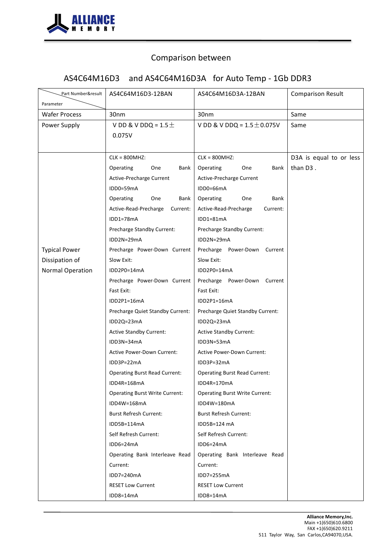

# AS4C64M16D3 and AS4C64M16D3A for Auto Temp - 1Gb DDR3

| Part Number&result<br>Parameter                            | AS4C64M16D3-12BAN                                                                                                                                                                                                                                                                                                                                                                                                                                                                                                                                                                                                                                                                                                                     | AS4C64M16D3A-12BAN                                                                                                                                                                                                                                                                                                                                                                                                                                                                                                                                                                                                                                                                                                                   | <b>Comparison Result</b>            |
|------------------------------------------------------------|---------------------------------------------------------------------------------------------------------------------------------------------------------------------------------------------------------------------------------------------------------------------------------------------------------------------------------------------------------------------------------------------------------------------------------------------------------------------------------------------------------------------------------------------------------------------------------------------------------------------------------------------------------------------------------------------------------------------------------------|--------------------------------------------------------------------------------------------------------------------------------------------------------------------------------------------------------------------------------------------------------------------------------------------------------------------------------------------------------------------------------------------------------------------------------------------------------------------------------------------------------------------------------------------------------------------------------------------------------------------------------------------------------------------------------------------------------------------------------------|-------------------------------------|
| <b>Wafer Process</b>                                       | 30nm                                                                                                                                                                                                                                                                                                                                                                                                                                                                                                                                                                                                                                                                                                                                  | 30nm                                                                                                                                                                                                                                                                                                                                                                                                                                                                                                                                                                                                                                                                                                                                 | Same                                |
| Power Supply                                               | V DD & V DDQ = $1.5\pm$<br>0.075V                                                                                                                                                                                                                                                                                                                                                                                                                                                                                                                                                                                                                                                                                                     | V DD & V DDQ = $1.5 \pm 0.075V$                                                                                                                                                                                                                                                                                                                                                                                                                                                                                                                                                                                                                                                                                                      | Same                                |
| <b>Typical Power</b><br>Dissipation of<br>Normal Operation | $CLK = 800MHz$<br>Operating<br>One<br>Bank<br>Active-Precharge Current<br>IDD0=59mA<br>Operating<br>One<br>Bank<br>Active-Read-Precharge<br>Current:<br>$IDD1=78mA$<br>Precharge Standby Current:<br>IDD2N=29mA<br>Precharge Power-Down Current<br>Slow Exit:<br>IDD2P0=14mA<br>Precharge Power-Down Current<br>Fast Exit:<br>IDD2P1=16mA<br>Precharge Quiet Standby Current:<br>IDD2Q=23mA<br><b>Active Standby Current:</b><br>IDD3N=34mA<br><b>Active Power-Down Current:</b><br>IDD3P=22mA<br><b>Operating Burst Read Current:</b><br>IDD4R=168mA<br><b>Operating Burst Write Current:</b><br>IDD4W=168mA<br><b>Burst Refresh Current:</b><br>IDD5B=114mA<br>Self Refresh Current:<br>IDD6=24mA<br>Operating Bank Interleave Read | $CLK = 800MHz$<br>Operating<br>One<br>Bank<br>Active-Precharge Current<br>IDD0=66mA<br>Operating<br>Bank<br>One<br>Active-Read-Precharge<br>Current:<br>IDD1=81mA<br>Precharge Standby Current:<br>IDD2N=29mA<br>Precharge Power-Down Current<br>Slow Exit:<br>IDD2P0=14mA<br>Precharge Power-Down Current<br>Fast Exit:<br>IDD2P1=16mA<br>Precharge Quiet Standby Current:<br>IDD2Q=23mA<br><b>Active Standby Current:</b><br>IDD3N=53mA<br><b>Active Power-Down Current:</b><br>IDD3P=32mA<br><b>Operating Burst Read Current:</b><br>IDD4R=170mA<br><b>Operating Burst Write Current:</b><br>IDD4W=180mA<br><b>Burst Refresh Current:</b><br>IDD5B=124 mA<br>Self Refresh Current:<br>IDD6=24mA<br>Operating Bank Interleave Read | D3A is equal to or less<br>than D3. |
|                                                            | Current:<br>IDD7=240mA<br><b>RESET Low Current</b><br>IDD8=14mA                                                                                                                                                                                                                                                                                                                                                                                                                                                                                                                                                                                                                                                                       | Current:<br>IDD7=255mA<br><b>RESET Low Current</b><br>IDD8=14mA                                                                                                                                                                                                                                                                                                                                                                                                                                                                                                                                                                                                                                                                      |                                     |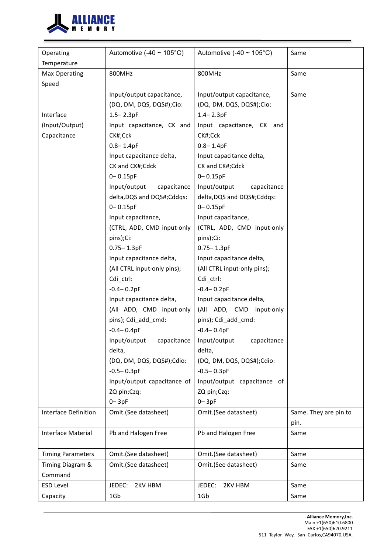

| Temperature<br>800MHz<br>800MHz<br>Same<br><b>Max Operating</b><br>Speed<br>Input/output capacitance,<br>Input/output capacitance,<br>Same<br>(DQ, DM, DQS, DQS#);Cio:<br>(DQ, DM, DQS, DQS#);Cio:<br>Interface<br>$1.5 - 2.3pF$<br>$1.4 - 2.3pF$<br>(Input/Output)<br>Input capacitance, CK and<br>Input capacitance, CK and<br>Capacitance<br>CK#;Cck<br>CK#;Cck<br>$0.8 - 1.4pF$<br>$0.8 - 1.4pF$<br>Input capacitance delta,<br>Input capacitance delta,<br>CK and CK#;Cdck<br>CK and CK#;Cdck<br>$0 - 0.15pF$<br>$0 - 0.15pF$<br>Input/output<br>capacitance<br>Input/output<br>capacitance<br>delta, DQS and DQS#; Cddqs:<br>delta, DQS and DQS#; Cddqs:<br>$0 - 0.15pF$<br>$0 - 0.15pF$<br>Input capacitance,<br>Input capacitance,<br>(CTRL, ADD, CMD input-only<br>(CTRL, ADD, CMD input-only<br>pins);Ci:<br>pins);Ci:<br>$0.75 - 1.3pF$<br>$0.75 - 1.3pF$<br>Input capacitance delta,<br>Input capacitance delta,<br>(All CTRL input-only pins);<br>(All CTRL input-only pins);<br>Cdi_ctrl:<br>Cdi_ctrl:<br>$-0.4 - 0.2pF$<br>$-0.4 - 0.2pF$<br>Input capacitance delta,<br>Input capacitance delta, | Operating | Automotive (-40 ~ $105^{\circ}$ C) | Automotive (-40 ~ $105^{\circ}$ C) | Same |
|------------------------------------------------------------------------------------------------------------------------------------------------------------------------------------------------------------------------------------------------------------------------------------------------------------------------------------------------------------------------------------------------------------------------------------------------------------------------------------------------------------------------------------------------------------------------------------------------------------------------------------------------------------------------------------------------------------------------------------------------------------------------------------------------------------------------------------------------------------------------------------------------------------------------------------------------------------------------------------------------------------------------------------------------------------------------------------------------------------------|-----------|------------------------------------|------------------------------------|------|
|                                                                                                                                                                                                                                                                                                                                                                                                                                                                                                                                                                                                                                                                                                                                                                                                                                                                                                                                                                                                                                                                                                                  |           |                                    |                                    |      |
|                                                                                                                                                                                                                                                                                                                                                                                                                                                                                                                                                                                                                                                                                                                                                                                                                                                                                                                                                                                                                                                                                                                  |           |                                    |                                    |      |
|                                                                                                                                                                                                                                                                                                                                                                                                                                                                                                                                                                                                                                                                                                                                                                                                                                                                                                                                                                                                                                                                                                                  |           |                                    |                                    |      |
|                                                                                                                                                                                                                                                                                                                                                                                                                                                                                                                                                                                                                                                                                                                                                                                                                                                                                                                                                                                                                                                                                                                  |           |                                    |                                    |      |
|                                                                                                                                                                                                                                                                                                                                                                                                                                                                                                                                                                                                                                                                                                                                                                                                                                                                                                                                                                                                                                                                                                                  |           |                                    |                                    |      |
|                                                                                                                                                                                                                                                                                                                                                                                                                                                                                                                                                                                                                                                                                                                                                                                                                                                                                                                                                                                                                                                                                                                  |           |                                    |                                    |      |
|                                                                                                                                                                                                                                                                                                                                                                                                                                                                                                                                                                                                                                                                                                                                                                                                                                                                                                                                                                                                                                                                                                                  |           |                                    |                                    |      |
|                                                                                                                                                                                                                                                                                                                                                                                                                                                                                                                                                                                                                                                                                                                                                                                                                                                                                                                                                                                                                                                                                                                  |           |                                    |                                    |      |
|                                                                                                                                                                                                                                                                                                                                                                                                                                                                                                                                                                                                                                                                                                                                                                                                                                                                                                                                                                                                                                                                                                                  |           |                                    |                                    |      |
|                                                                                                                                                                                                                                                                                                                                                                                                                                                                                                                                                                                                                                                                                                                                                                                                                                                                                                                                                                                                                                                                                                                  |           |                                    |                                    |      |
|                                                                                                                                                                                                                                                                                                                                                                                                                                                                                                                                                                                                                                                                                                                                                                                                                                                                                                                                                                                                                                                                                                                  |           |                                    |                                    |      |
|                                                                                                                                                                                                                                                                                                                                                                                                                                                                                                                                                                                                                                                                                                                                                                                                                                                                                                                                                                                                                                                                                                                  |           |                                    |                                    |      |
|                                                                                                                                                                                                                                                                                                                                                                                                                                                                                                                                                                                                                                                                                                                                                                                                                                                                                                                                                                                                                                                                                                                  |           |                                    |                                    |      |
|                                                                                                                                                                                                                                                                                                                                                                                                                                                                                                                                                                                                                                                                                                                                                                                                                                                                                                                                                                                                                                                                                                                  |           |                                    |                                    |      |
|                                                                                                                                                                                                                                                                                                                                                                                                                                                                                                                                                                                                                                                                                                                                                                                                                                                                                                                                                                                                                                                                                                                  |           |                                    |                                    |      |
|                                                                                                                                                                                                                                                                                                                                                                                                                                                                                                                                                                                                                                                                                                                                                                                                                                                                                                                                                                                                                                                                                                                  |           |                                    |                                    |      |
|                                                                                                                                                                                                                                                                                                                                                                                                                                                                                                                                                                                                                                                                                                                                                                                                                                                                                                                                                                                                                                                                                                                  |           |                                    |                                    |      |
|                                                                                                                                                                                                                                                                                                                                                                                                                                                                                                                                                                                                                                                                                                                                                                                                                                                                                                                                                                                                                                                                                                                  |           |                                    |                                    |      |
|                                                                                                                                                                                                                                                                                                                                                                                                                                                                                                                                                                                                                                                                                                                                                                                                                                                                                                                                                                                                                                                                                                                  |           |                                    |                                    |      |
|                                                                                                                                                                                                                                                                                                                                                                                                                                                                                                                                                                                                                                                                                                                                                                                                                                                                                                                                                                                                                                                                                                                  |           |                                    |                                    |      |
|                                                                                                                                                                                                                                                                                                                                                                                                                                                                                                                                                                                                                                                                                                                                                                                                                                                                                                                                                                                                                                                                                                                  |           |                                    |                                    |      |
|                                                                                                                                                                                                                                                                                                                                                                                                                                                                                                                                                                                                                                                                                                                                                                                                                                                                                                                                                                                                                                                                                                                  |           |                                    |                                    |      |
|                                                                                                                                                                                                                                                                                                                                                                                                                                                                                                                                                                                                                                                                                                                                                                                                                                                                                                                                                                                                                                                                                                                  |           |                                    |                                    |      |
|                                                                                                                                                                                                                                                                                                                                                                                                                                                                                                                                                                                                                                                                                                                                                                                                                                                                                                                                                                                                                                                                                                                  |           |                                    |                                    |      |
| (All ADD, CMD input-only<br>(All ADD, CMD input-only                                                                                                                                                                                                                                                                                                                                                                                                                                                                                                                                                                                                                                                                                                                                                                                                                                                                                                                                                                                                                                                             |           |                                    |                                    |      |
| pins); Cdi_add_cmd:<br>pins); Cdi_add_cmd:                                                                                                                                                                                                                                                                                                                                                                                                                                                                                                                                                                                                                                                                                                                                                                                                                                                                                                                                                                                                                                                                       |           |                                    |                                    |      |
| $-0.4 - 0.4pF$<br>$-0.4 - 0.4pF$                                                                                                                                                                                                                                                                                                                                                                                                                                                                                                                                                                                                                                                                                                                                                                                                                                                                                                                                                                                                                                                                                 |           |                                    |                                    |      |
| Input/output capacitance   Input/output capacitance                                                                                                                                                                                                                                                                                                                                                                                                                                                                                                                                                                                                                                                                                                                                                                                                                                                                                                                                                                                                                                                              |           |                                    |                                    |      |
| delta,<br>delta,                                                                                                                                                                                                                                                                                                                                                                                                                                                                                                                                                                                                                                                                                                                                                                                                                                                                                                                                                                                                                                                                                                 |           |                                    |                                    |      |
| (DQ, DM, DQS, DQS#);Cdio:<br>(DQ, DM, DQS, DQS#);Cdio:                                                                                                                                                                                                                                                                                                                                                                                                                                                                                                                                                                                                                                                                                                                                                                                                                                                                                                                                                                                                                                                           |           |                                    |                                    |      |
| $-0.5 - 0.3pF$<br>$-0.5 - 0.3pF$                                                                                                                                                                                                                                                                                                                                                                                                                                                                                                                                                                                                                                                                                                                                                                                                                                                                                                                                                                                                                                                                                 |           |                                    |                                    |      |
| Input/output capacitance of<br>Input/output capacitance of                                                                                                                                                                                                                                                                                                                                                                                                                                                                                                                                                                                                                                                                                                                                                                                                                                                                                                                                                                                                                                                       |           |                                    |                                    |      |
| ZQ pin;Czq:<br>ZQ pin;Czq:                                                                                                                                                                                                                                                                                                                                                                                                                                                                                                                                                                                                                                                                                                                                                                                                                                                                                                                                                                                                                                                                                       |           |                                    |                                    |      |
| $0 - 3pF$<br>$0 - 3pF$                                                                                                                                                                                                                                                                                                                                                                                                                                                                                                                                                                                                                                                                                                                                                                                                                                                                                                                                                                                                                                                                                           |           |                                    |                                    |      |
| Interface Definition<br>Omit.(See datasheet)<br>Omit.(See datasheet)<br>Same. They are pin to                                                                                                                                                                                                                                                                                                                                                                                                                                                                                                                                                                                                                                                                                                                                                                                                                                                                                                                                                                                                                    |           |                                    |                                    |      |
| pin.                                                                                                                                                                                                                                                                                                                                                                                                                                                                                                                                                                                                                                                                                                                                                                                                                                                                                                                                                                                                                                                                                                             |           |                                    |                                    |      |
| Interface Material<br>Pb and Halogen Free<br>Pb and Halogen Free<br>Same                                                                                                                                                                                                                                                                                                                                                                                                                                                                                                                                                                                                                                                                                                                                                                                                                                                                                                                                                                                                                                         |           |                                    |                                    |      |
|                                                                                                                                                                                                                                                                                                                                                                                                                                                                                                                                                                                                                                                                                                                                                                                                                                                                                                                                                                                                                                                                                                                  |           |                                    |                                    |      |
| <b>Timing Parameters</b><br>Omit.(See datasheet)<br>Omit.(See datasheet)<br>Same                                                                                                                                                                                                                                                                                                                                                                                                                                                                                                                                                                                                                                                                                                                                                                                                                                                                                                                                                                                                                                 |           |                                    |                                    |      |
| Omit.(See datasheet)<br>Omit.(See datasheet)<br>Timing Diagram &<br>Same                                                                                                                                                                                                                                                                                                                                                                                                                                                                                                                                                                                                                                                                                                                                                                                                                                                                                                                                                                                                                                         |           |                                    |                                    |      |
| Command                                                                                                                                                                                                                                                                                                                                                                                                                                                                                                                                                                                                                                                                                                                                                                                                                                                                                                                                                                                                                                                                                                          |           |                                    |                                    |      |
| <b>ESD Level</b><br>JEDEC:<br>2KV HBM<br>JEDEC:<br>2KV HBM<br>Same                                                                                                                                                                                                                                                                                                                                                                                                                                                                                                                                                                                                                                                                                                                                                                                                                                                                                                                                                                                                                                               |           |                                    |                                    |      |
| 1Gb<br>Capacity<br>1Gb<br>Same                                                                                                                                                                                                                                                                                                                                                                                                                                                                                                                                                                                                                                                                                                                                                                                                                                                                                                                                                                                                                                                                                   |           |                                    |                                    |      |